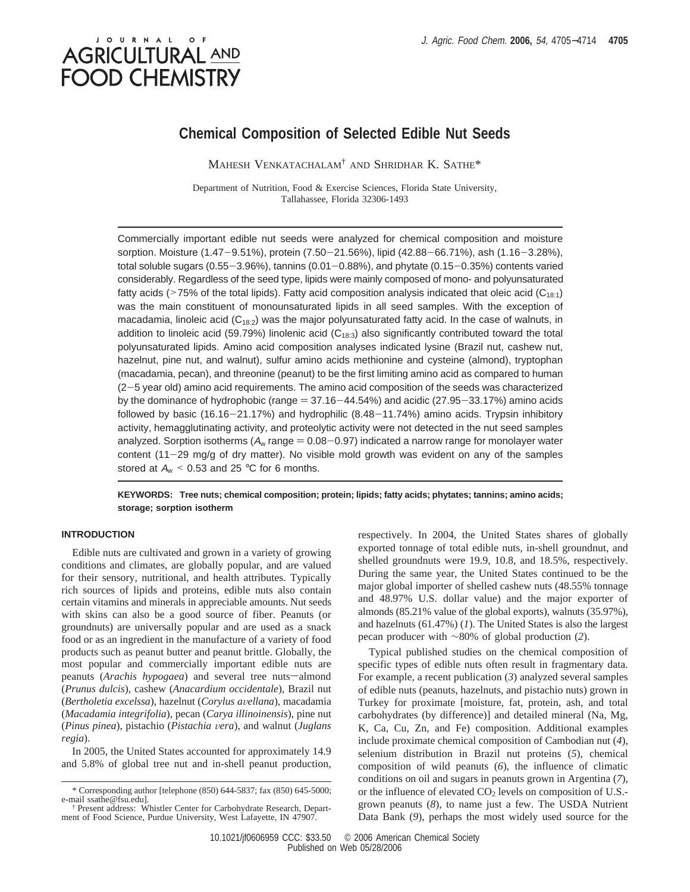# J O U R N A L **AGRICULTURAL AND FOOD CHEMISTRY**

# **Chemical Composition of Selected Edible Nut Seeds**

MAHESH VENKATACHALAM† AND SHRIDHAR K. SATHE\*

Department of Nutrition, Food & Exercise Sciences, Florida State University, Tallahassee, Florida 32306-1493

Commercially important edible nut seeds were analyzed for chemical composition and moisture sorption. Moisture (1.47-9.51%), protein (7.50-21.56%), lipid (42.88-66.71%), ash (1.16-3.28%), total soluble sugars (0.55-3.96%), tannins (0.01-0.88%), and phytate (0.15-0.35%) contents varied considerably. Regardless of the seed type, lipids were mainly composed of mono- and polyunsaturated fatty acids (>75% of the total lipids). Fatty acid composition analysis indicated that oleic acid ( $C_{18:1}$ ) was the main constituent of monounsaturated lipids in all seed samples. With the exception of macadamia, linoleic acid  $(C_{18:2})$  was the major polyunsaturated fatty acid. In the case of walnuts, in addition to linoleic acid (59.79%) linolenic acid ( $C_{18:3}$ ) also significantly contributed toward the total polyunsaturated lipids. Amino acid composition analyses indicated lysine (Brazil nut, cashew nut, hazelnut, pine nut, and walnut), sulfur amino acids methionine and cysteine (almond), tryptophan (macadamia, pecan), and threonine (peanut) to be the first limiting amino acid as compared to human (2-5 year old) amino acid requirements. The amino acid composition of the seeds was characterized by the dominance of hydrophobic (range  $= 37.16-44.54\%$ ) and acidic (27.95-33.17%) amino acids followed by basic (16.16-21.17%) and hydrophilic (8.48-11.74%) amino acids. Trypsin inhibitory activity, hemagglutinating activity, and proteolytic activity were not detected in the nut seed samples analyzed. Sorption isotherms ( $A_w$  range = 0.08-0.97) indicated a narrow range for monolayer water content  $(11-29 \text{ mg/q of dry matter})$ . No visible mold growth was evident on any of the samples stored at  $A_w < 0.53$  and 25 °C for 6 months.

**KEYWORDS: Tree nuts; chemical composition; protein; lipids; fatty acids; phytates; tannins; amino acids; storage; sorption isotherm**

## **INTRODUCTION**

Edible nuts are cultivated and grown in a variety of growing conditions and climates, are globally popular, and are valued for their sensory, nutritional, and health attributes. Typically rich sources of lipids and proteins, edible nuts also contain certain vitamins and minerals in appreciable amounts. Nut seeds with skins can also be a good source of fiber. Peanuts (or groundnuts) are universally popular and are used as a snack food or as an ingredient in the manufacture of a variety of food products such as peanut butter and peanut brittle. Globally, the most popular and commercially important edible nuts are peanuts (Arachis hypogaea) and several tree nuts-almond (*Prunus dulcis*), cashew (*Anacardium occidentale*), Brazil nut (*Bertholetia excelssa*), hazelnut (*Corylus a*V*ellana*), macadamia (*Macadamia integrifolia*), pecan (*Carya illinoinensis*), pine nut (*Pinus pinea*), pistachio (*Pistachia* V*era*), and walnut (*Juglans regia*).

In 2005, the United States accounted for approximately 14.9 and 5.8% of global tree nut and in-shell peanut production, respectively. In 2004, the United States shares of globally exported tonnage of total edible nuts, in-shell groundnut, and shelled groundnuts were 19.9, 10.8, and 18.5%, respectively. During the same year, the United States continued to be the major global importer of shelled cashew nuts (48.55% tonnage and 48.97% U.S. dollar value) and the major exporter of almonds (85.21% value of the global exports), walnuts (35.97%), and hazelnuts (61.47%) (*1*). The United States is also the largest pecan producer with ∼80% of global production (*2*).

Typical published studies on the chemical composition of specific types of edible nuts often result in fragmentary data. For example, a recent publication (*3*) analyzed several samples of edible nuts (peanuts, hazelnuts, and pistachio nuts) grown in Turkey for proximate [moisture, fat, protein, ash, and total carbohydrates (by difference)] and detailed mineral (Na, Mg, K, Ca, Cu, Zn, and Fe) composition. Additional examples include proximate chemical composition of Cambodian nut (*4*), selenium distribution in Brazil nut proteins (*5*), chemical composition of wild peanuts (*6*), the influence of climatic conditions on oil and sugars in peanuts grown in Argentina (*7*), or the influence of elevated  $CO<sub>2</sub>$  levels on composition of U.S.grown peanuts (*8*), to name just a few. The USDA Nutrient Data Bank (*9*), perhaps the most widely used source for the

<sup>\*</sup> Corresponding author [telephone (850) 644-5837; fax (850) 645-5000; e-mail ssathe@fsu.edu].

<sup>†</sup> Present address: Whistler Center for Carbohydrate Research, Department of Food Science, Purdue University, West Lafayette, IN 47907.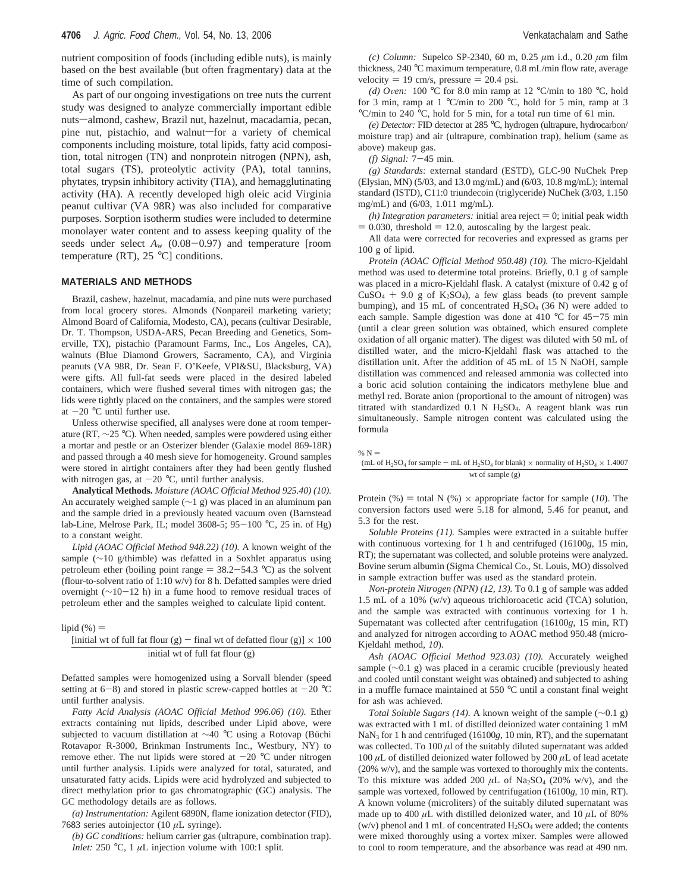nutrient composition of foods (including edible nuts), is mainly based on the best available (but often fragmentary) data at the time of such compilation.

As part of our ongoing investigations on tree nuts the current study was designed to analyze commercially important edible nuts-almond, cashew, Brazil nut, hazelnut, macadamia, pecan, pine nut, pistachio, and walnut-for a variety of chemical components including moisture, total lipids, fatty acid composition, total nitrogen (TN) and nonprotein nitrogen (NPN), ash, total sugars (TS), proteolytic activity (PA), total tannins, phytates, trypsin inhibitory activity (TIA), and hemagglutinating activity (HA). A recently developed high oleic acid Virginia peanut cultivar (VA 98R) was also included for comparative purposes. Sorption isotherm studies were included to determine monolayer water content and to assess keeping quality of the seeds under select  $A_w$  (0.08-0.97) and temperature [room temperature (RT),  $25 \text{ °C}$  conditions.

#### **MATERIALS AND METHODS**

Brazil, cashew, hazelnut, macadamia, and pine nuts were purchased from local grocery stores. Almonds (Nonpareil marketing variety; Almond Board of California, Modesto, CA), pecans (cultivar Desirable, Dr. T. Thompson, USDA-ARS, Pecan Breeding and Genetics, Somerville, TX), pistachio (Paramount Farms, Inc., Los Angeles, CA), walnuts (Blue Diamond Growers, Sacramento, CA), and Virginia peanuts (VA 98R, Dr. Sean F. O'Keefe, VPI&SU, Blacksburg, VA) were gifts. All full-fat seeds were placed in the desired labeled containers, which were flushed several times with nitrogen gas; the lids were tightly placed on the containers, and the samples were stored at  $-20$  °C until further use.

Unless otherwise specified, all analyses were done at room temperature (RT, ∼25 °C). When needed, samples were powdered using either a mortar and pestle or an Osterizer blender (Galaxie model 869-18R) and passed through a 40 mesh sieve for homogeneity. Ground samples were stored in airtight containers after they had been gently flushed with nitrogen gas, at  $-20$  °C, until further analysis.

**Analytical Methods.** *Moisture (AOAC Official Method 925.40) (10).* An accurately weighed sample (∼1 g) was placed in an aluminum pan and the sample dried in a previously heated vacuum oven (Barnstead lab-Line, Melrose Park, IL; model 3608-5; 95-<sup>100</sup> °C, 25 in. of Hg) to a constant weight.

*Lipid (AOAC Official Method 948.22) (10).* A known weight of the sample (~10 g/thimble) was defatted in a Soxhlet apparatus using petroleum ether (boiling point range  $= 38.2 - 54.3$  °C) as the solvent (flour-to-solvent ratio of 1:10 w/v) for 8 h. Defatted samples were dried overnight (∼10-12 h) in a fume hood to remove residual traces of petroleum ether and the samples weighed to calculate lipid content.

lipid  $(\%) =$ 

# [initial wt of full fat flour (g) - final wt of defatted flour (g)]  $\times$  100 initial wt of full fat flour (g)

Defatted samples were homogenized using a Sorvall blender (speed setting at  $6-8$ ) and stored in plastic screw-capped bottles at  $-20$  °C until further analysis.

*Fatty Acid Analysis (AOAC Official Method 996.06) (10).* Ether extracts containing nut lipids, described under Lipid above, were subjected to vacuum distillation at  $\sim$ 40 °C using a Rotovap (Büchi Rotavapor R-3000, Brinkman Instruments Inc., Westbury, NY) to remove ether. The nut lipids were stored at  $-20$  °C under nitrogen until further analysis. Lipids were analyzed for total, saturated, and unsaturated fatty acids. Lipids were acid hydrolyzed and subjected to direct methylation prior to gas chromatographic (GC) analysis. The GC methodology details are as follows.

*(a) Instrumentation:* Agilent 6890N, flame ionization detector (FID), 7683 series autoinjector (10 *µ*L syringe).

*(b) GC conditions:* helium carrier gas (ultrapure, combination trap). *Inlet:* 250 °C, 1  $\mu$ L injection volume with 100:1 split.

*(c) Column:* Supelco SP-2340, 60 m, 0.25 *µ*m i.d., 0.20 *µ*m film thickness, 240 °C maximum temperature, 0.8 mL/min flow rate, average velocity  $= 19$  cm/s, pressure  $= 20.4$  psi.

*(d) Oven:* 100 °C for 8.0 min ramp at 12 °C/min to 180 °C, hold for 3 min, ramp at 1 °C/min to 200 °C, hold for 5 min, ramp at 3 °C/min to 240 °C, hold for 5 min, for a total run time of 61 min.

*(e) Detector:* FID detector at 285 °C, hydrogen (ultrapure, hydrocarbon/ moisture trap) and air (ultrapure, combination trap), helium (same as above) makeup gas.

*(f) Signal:* <sup>7</sup>-45 min.

*(g) Standards:* external standard (ESTD), GLC-90 NuChek Prep (Elysian, MN) (5/03, and 13.0 mg/mL) and (6/03, 10.8 mg/mL); internal standard (ISTD), C11:0 triundecoin (triglyceride) NuChek (3/03, 1.150 mg/mL) and (6/03, 1.011 mg/mL).

*(h) Integration parameters:* initial area reject  $= 0$ ; initial peak width  $= 0.030$ , threshold  $= 12.0$ , autoscaling by the largest peak.

All data were corrected for recoveries and expressed as grams per 100 g of lipid.

*Protein (AOAC Official Method 950.48) (10).* The micro-Kjeldahl method was used to determine total proteins. Briefly, 0.1 g of sample was placed in a micro-Kjeldahl flask. A catalyst (mixture of 0.42 g of  $CuSO<sub>4</sub> + 9.0$  g of  $K<sub>2</sub>SO<sub>4</sub>$ ), a few glass beads (to prevent sample bumping), and 15 mL of concentrated  $H_2SO_4$  (36 N) were added to each sample. Sample digestion was done at 410 °C for 45-75 min (until a clear green solution was obtained, which ensured complete oxidation of all organic matter). The digest was diluted with 50 mL of distilled water, and the micro-Kjeldahl flask was attached to the distillation unit. After the addition of 45 mL of 15 N NaOH, sample distillation was commenced and released ammonia was collected into a boric acid solution containing the indicators methylene blue and methyl red. Borate anion (proportional to the amount of nitrogen) was titrated with standardized  $0.1$  N H<sub>2</sub>SO<sub>4</sub>. A reagent blank was run simultaneously. Sample nitrogen content was calculated using the formula

```
\% N =
```
#### (mL of  $H_2SO_4$  for sample – mL of  $H_2SO_4$  for blank)  $\times$  normality of  $H_2SO_4 \times 1.4007$ wt of sample (g)

Protein (%) = total N (%)  $\times$  appropriate factor for sample (10). The conversion factors used were 5.18 for almond, 5.46 for peanut, and 5.3 for the rest.

*Soluble Proteins (11).* Samples were extracted in a suitable buffer with continuous vortexing for 1 h and centrifuged (16100*g*, 15 min, RT); the supernatant was collected, and soluble proteins were analyzed. Bovine serum albumin (Sigma Chemical Co., St. Louis, MO) dissolved in sample extraction buffer was used as the standard protein.

*Non-protein Nitrogen (NPN) (12, 13).* To 0.1 g of sample was added 1.5 mL of a 10% (w/v) aqueous trichloroacetic acid (TCA) solution, and the sample was extracted with continuous vortexing for 1 h. Supernatant was collected after centrifugation (16100*g*, 15 min, RT) and analyzed for nitrogen according to AOAC method 950.48 (micro-Kjeldahl method, *10*).

*Ash (AOAC Official Method 923.03) (10).* Accurately weighed sample (∼0.1 g) was placed in a ceramic crucible (previously heated and cooled until constant weight was obtained) and subjected to ashing in a muffle furnace maintained at 550 °C until a constant final weight for ash was achieved.

*Total Soluble Sugars (14).* A known weight of the sample (∼0.1 g) was extracted with 1 mL of distilled deionized water containing 1 mM NaN3 for 1 h and centrifuged (16100*g*, 10 min, RT), and the supernatant was collected. To  $100 \mu l$  of the suitably diluted supernatant was added 100 *µ*L of distilled deionized water followed by 200 *µ*L of lead acetate (20% w/v), and the sample was vortexed to thoroughly mix the contents. To this mixture was added 200  $\mu$ L of Na<sub>2</sub>SO<sub>4</sub> (20% w/v), and the sample was vortexed, followed by centrifugation (16100*g*, 10 min, RT). A known volume (microliters) of the suitably diluted supernatant was made up to 400  $\mu$ L with distilled deionized water, and 10  $\mu$ L of 80% (w/v) phenol and 1 mL of concentrated  $H_2SO_4$  were added; the contents were mixed thoroughly using a vortex mixer. Samples were allowed to cool to room temperature, and the absorbance was read at 490 nm.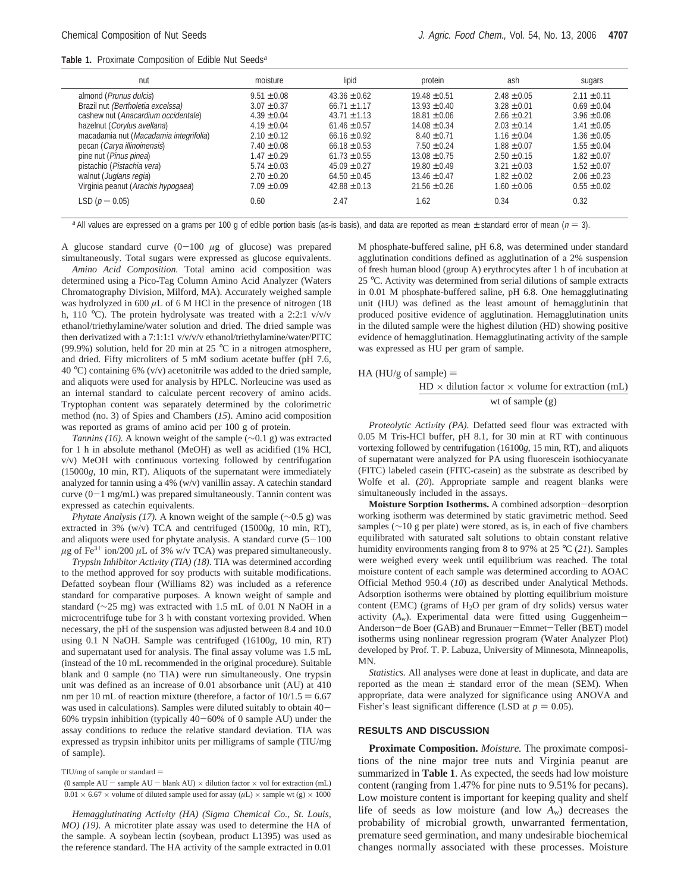|  |  | <b>Table 1.</b> Proximate Composition of Edible Nut Seeds <sup>a</sup> |  |  |  |
|--|--|------------------------------------------------------------------------|--|--|--|
|--|--|------------------------------------------------------------------------|--|--|--|

| nut                                    | moisture        | lipid            | protein          | ash             | sugars          |
|----------------------------------------|-----------------|------------------|------------------|-----------------|-----------------|
| almond ( <i>Prunus dulcis</i> )        | $9.51 \pm 0.08$ | $43.36 \pm 0.62$ | $19.48 \pm 0.51$ | $2.48 \pm 0.05$ | $2.11 \pm 0.11$ |
| Brazil nut (Bertholetia excelssa)      | $3.07 \pm 0.37$ | $66.71 \pm 1.17$ | $13.93 \pm 0.40$ | $3.28 \pm 0.01$ | $0.69 \pm 0.04$ |
| cashew nut (Anacardium occidentale)    | $4.39 \pm 0.04$ | $43.71 \pm 1.13$ | $18.81 \pm 0.06$ | $2.66 \pm 0.21$ | $3.96 \pm 0.08$ |
| hazelnut (Corylus avellana)            | $4.19 \pm 0.04$ | $61.46 \pm 0.57$ | $14.08 \pm 0.34$ | $2.03 \pm 0.14$ | $1.41 \pm 0.05$ |
| macadamia nut (Macadamia integrifolia) | $2.10 \pm 0.12$ | $66.16 \pm 0.92$ | $8.40 \pm 0.71$  | $1.16 \pm 0.04$ | $1.36 \pm 0.05$ |
| pecan (Carya illinoinensis)            | $7.40 \pm 0.08$ | $66.18 \pm 0.53$ | $7.50 \pm 0.24$  | $1.88 \pm 0.07$ | $1.55 \pm 0.04$ |
| pine nut (Pinus pinea)                 | $1.47 \pm 0.29$ | $61.73 \pm 0.55$ | $13.08 \pm 0.75$ | $2.50 \pm 0.15$ | $1.82 \pm 0.07$ |
| pistachio (Pistachia vera)             | $5.74 \pm 0.03$ | $45.09 \pm 0.27$ | $19.80 \pm 0.49$ | $3.21 \pm 0.03$ | $1.52 \pm 0.07$ |
| walnut (Juglans regia)                 | $2.70 \pm 0.20$ | $64.50 \pm 0.45$ | $13.46 \pm 0.47$ | $1.82 \pm 0.02$ | $2.06 \pm 0.23$ |
| Virginia peanut (Arachis hypogaea)     | $7.09 \pm 0.09$ | $42.88 \pm 0.13$ | $21.56 \pm 0.26$ | $1.60 \pm 0.06$ | $0.55 \pm 0.02$ |
| LSD ( $p = 0.05$ )                     | 0.60            | 2.47             | 1.62             | 0.34            | 0.32            |

<sup>a</sup> All values are expressed on a grams per 100 g of edible portion basis (as-is basis), and data are reported as mean  $\pm$  standard error of mean ( $n = 3$ ).

A glucose standard curve  $(0-100 \mu g)$  of glucose) was prepared simultaneously. Total sugars were expressed as glucose equivalents.

*Amino Acid Composition.* Total amino acid composition was determined using a Pico-Tag Column Amino Acid Analyzer (Waters Chromatography Division, Milford, MA). Accurately weighed sample was hydrolyzed in 600  $\mu$ L of 6 M HCl in the presence of nitrogen (18) h, 110 °C). The protein hydrolysate was treated with a 2:2:1 v/v/v ethanol/triethylamine/water solution and dried. The dried sample was then derivatized with a 7:1:1:1 v/v/v/v ethanol/triethylamine/water/PITC (99.9%) solution, held for 20 min at 25  $^{\circ}$ C in a nitrogen atmosphere, and dried. Fifty microliters of 5 mM sodium acetate buffer (pH 7.6, 40 °C) containing 6% (v/v) acetonitrile was added to the dried sample, and aliquots were used for analysis by HPLC. Norleucine was used as an internal standard to calculate percent recovery of amino acids. Tryptophan content was separately determined by the colorimetric method (no. 3) of Spies and Chambers (*15*). Amino acid composition was reported as grams of amino acid per 100 g of protein.

*Tannins (16).* A known weight of the sample (∼0.1 g) was extracted for 1 h in absolute methanol (MeOH) as well as acidified (1% HCl, v/v) MeOH with continuous vortexing followed by centrifugation (15000*g*, 10 min, RT). Aliquots of the supernatant were immediately analyzed for tannin using a 4% (w/v) vanillin assay. A catechin standard curve  $(0-1$  mg/mL) was prepared simultaneously. Tannin content was expressed as catechin equivalents.

*Phytate Analysis (17).* A known weight of the sample (∼0.5 g) was extracted in 3% (w/v) TCA and centrifuged (15000*g*, 10 min, RT), and aliquots were used for phytate analysis. A standard curve  $(5-100)$  $\mu$ g of Fe<sup>3+</sup> ion/200  $\mu$ L of 3% w/v TCA) was prepared simultaneously.

*Trypsin Inhibitor Activity (TIA) (18).* TIA was determined according to the method approved for soy products with suitable modifications. Defatted soybean flour (Williams 82) was included as a reference standard for comparative purposes. A known weight of sample and standard (∼25 mg) was extracted with 1.5 mL of 0.01 N NaOH in a microcentrifuge tube for 3 h with constant vortexing provided. When necessary, the pH of the suspension was adjusted between 8.4 and 10.0 using 0.1 N NaOH. Sample was centrifuged (16100*g*, 10 min, RT) and supernatant used for analysis. The final assay volume was 1.5 mL (instead of the 10 mL recommended in the original procedure). Suitable blank and 0 sample (no TIA) were run simultaneously. One trypsin unit was defined as an increase of 0.01 absorbance unit (AU) at 410 nm per 10 mL of reaction mixture (therefore, a factor of  $10/1.5 = 6.67$ was used in calculations). Samples were diluted suitably to obtain 40- 60% trypsin inhibition (typically 40-60% of 0 sample AU) under the assay conditions to reduce the relative standard deviation. TIA was expressed as trypsin inhibitor units per milligrams of sample (TIU/mg of sample).

TIU/mg of sample or standard  $=$ 

(0 sample AU - sample AU - blank AU)  $\times$  dilution factor  $\times$  vol for extraction (mL)  $0.01 \times 6.67 \times$  volume of diluted sample used for assay ( $\mu$ L)  $\times$  sample wt (g)  $\times$  1000

*Hemagglutinating Activity (HA) (Sigma Chemical Co., St. Louis, MO) (19).* A microtiter plate assay was used to determine the HA of the sample. A soybean lectin (soybean, product L1395) was used as the reference standard. The HA activity of the sample extracted in 0.01 M phosphate-buffered saline, pH 6.8, was determined under standard agglutination conditions defined as agglutination of a 2% suspension of fresh human blood (group A) erythrocytes after 1 h of incubation at 25 °C. Activity was determined from serial dilutions of sample extracts in 0.01 M phosphate-buffered saline, pH 6.8. One hemagglutinating unit (HU) was defined as the least amount of hemagglutinin that produced positive evidence of agglutination. Hemagglutination units in the diluted sample were the highest dilution (HD) showing positive evidence of hemagglutination. Hemagglutinating activity of the sample was expressed as HU per gram of sample.

HA (HU/g of sample)  $=$ 

$$
\frac{\text{HD} \times \text{dilution factor} \times \text{volume for extraction (mL)}}{\text{wt of sample (g)}}
$$

*Proteolytic Activity (PA).* Defatted seed flour was extracted with 0.05 M Tris-HCl buffer, pH 8.1, for 30 min at RT with continuous vortexing followed by centrifugation (16100*g*, 15 min, RT), and aliquots of supernatant were analyzed for PA using fluorescein isothiocyanate (FITC) labeled casein (FITC-casein) as the substrate as described by Wolfe et al. (*20*). Appropriate sample and reagent blanks were simultaneously included in the assays.

**Moisture Sorption Isotherms.** A combined adsorption-desorption working isotherm was determined by static gravimetric method. Seed samples (∼10 g per plate) were stored, as is, in each of five chambers equilibrated with saturated salt solutions to obtain constant relative humidity environments ranging from 8 to 97% at 25 °C (*21*). Samples were weighed every week until equilibrium was reached. The total moisture content of each sample was determined according to AOAC Official Method 950.4 (*10*) as described under Analytical Methods. Adsorption isotherms were obtained by plotting equilibrium moisture content (EMC) (grams of  $H_2O$  per gram of dry solids) versus water activity (*A*w). Experimental data were fitted using Guggenheim-Anderson-de Boer (GAB) and Brunauer-Emmet-Teller (BET) model isotherms using nonlinear regression program (Water Analyzer Plot) developed by Prof. T. P. Labuza, University of Minnesota, Minneapolis, MN.

*Statistics.* All analyses were done at least in duplicate, and data are reported as the mean  $\pm$  standard error of the mean (SEM). When appropriate, data were analyzed for significance using ANOVA and Fisher's least significant difference (LSD at  $p = 0.05$ ).

#### **RESULTS AND DISCUSSION**

**Proximate Composition.** *Moisture.* The proximate compositions of the nine major tree nuts and Virginia peanut are summarized in **Table 1**. As expected, the seeds had low moisture content (ranging from 1.47% for pine nuts to 9.51% for pecans). Low moisture content is important for keeping quality and shelf life of seeds as low moisture (and low *A*w) decreases the probability of microbial growth, unwarranted fermentation, premature seed germination, and many undesirable biochemical changes normally associated with these processes. Moisture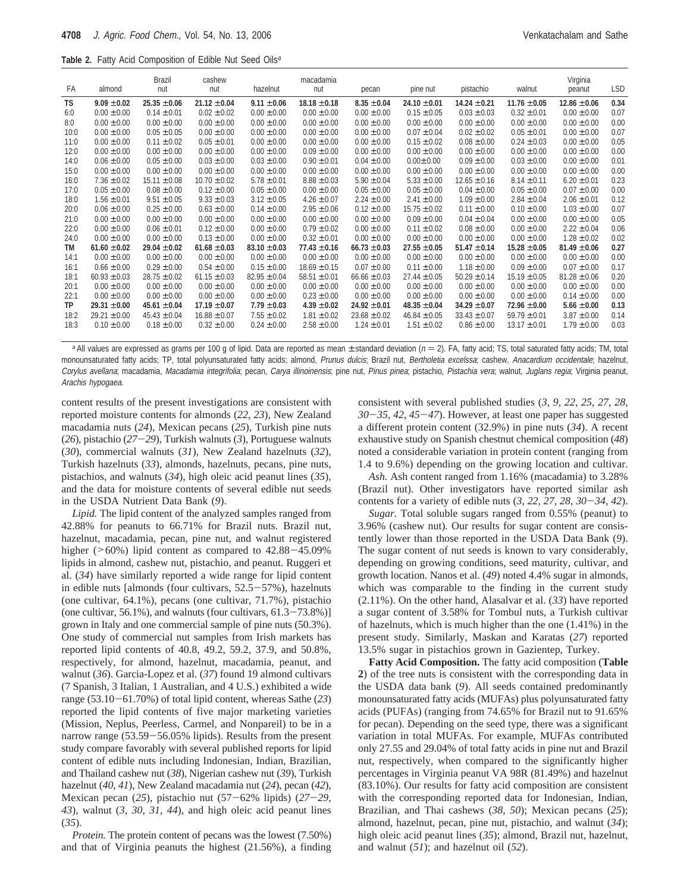|  |  | Table 2. Fatty Acid Composition of Edible Nut Seed Oils <sup>a</sup> |  |  |  |  |
|--|--|----------------------------------------------------------------------|--|--|--|--|
|--|--|----------------------------------------------------------------------|--|--|--|--|

| FA        | almond           | Brazil<br>nut    | cashew<br>nut    | hazelnut         | macadamia<br>nut | pecan            | pine nut         | pistachio        | walnut           | Virginia<br>peanut | <b>LSD</b> |
|-----------|------------------|------------------|------------------|------------------|------------------|------------------|------------------|------------------|------------------|--------------------|------------|
| TS        | $9.09 + 0.02$    | $25.35 \pm 0.06$ | $21.12 \pm 0.04$ | $9.11 \pm 0.06$  | $18.18 \pm 0.18$ | $8.35 \pm 0.04$  | $24.10 \pm 0.01$ | $14.24 \pm 0.21$ | $11.76 \pm 0.05$ | $12.86 \pm 0.06$   | 0.34       |
| 6:0       | $0.00 \pm 0.00$  | $0.14 \pm 0.01$  | $0.02 \pm 0.02$  | $0.00 \pm 0.00$  | $0.00 \pm 0.00$  | $0.00 \pm 0.00$  | $0.15 \pm 0.05$  | $0.03 \pm 0.03$  | $0.32 + 0.01$    | $0.00 \pm 0.00$    | 0.07       |
| 8:0       | $0.00 \pm 0.00$  | $0.00 \pm 0.00$  | $0.00 \pm 0.00$  | $0.00 \pm 0.00$  | $0.00 \pm 0.00$  | $0.00 \pm 0.00$  | $0.00 \pm 0.00$  | $0.00 \pm 0.00$  | $0.00 \pm 0.00$  | $0.00 \pm 0.00$    | 0.00       |
| 10:0      | $0.00 \pm 0.00$  | $0.05 \pm 0.05$  | $0.00 \pm 0.00$  | $0.00 \pm 0.00$  | $0.00 \pm 0.00$  | $0.00 \pm 0.00$  | $0.07 \pm 0.04$  | $0.02 \pm 0.02$  | $0.05 \pm 0.01$  | $0.00 \pm 0.00$    | 0.07       |
| 11:0      | $0.00 \pm 0.00$  | $0.11 \pm 0.02$  | $0.05 \pm 0.01$  | $0.00 \pm 0.00$  | $0.00 \pm 0.00$  | $0.00 \pm 0.00$  | $0.15 \pm 0.02$  | $0.08 \pm 0.00$  | $0.24 \pm 0.03$  | $0.00 \pm 0.00$    | 0.05       |
| 12:0      | $0.00 \pm 0.00$  | $0.00 \pm 0.00$  | $0.00 \pm 0.00$  | $0.00 \pm 0.00$  | $0.09 \pm 0.00$  | $0.00 + 0.00$    | $0.00 \pm 0.00$  | $0.00 \pm 0.00$  | $0.00 \pm 0.00$  | $0.00 \pm 0.00$    | 0.00       |
| 14:0      | $0.06 \pm 0.00$  | $0.05 \pm 0.00$  | $0.03 \pm 0.00$  | $0.03 \pm 0.00$  | $0.90 \pm 0.01$  | $0.04 \pm 0.00$  | $0.00 + 0.00$    | $0.09 \pm 0.00$  | $0.03 \pm 0.00$  | $0.00 + 0.00$      | 0.01       |
| 15:0      | $0.00 \pm 0.00$  | $0.00 \pm 0.00$  | $0.00 \pm 0.00$  | $0.00 \pm 0.00$  | $0.00 \pm 0.00$  | $0.00 \pm 0.00$  | $0.00 \pm 0.00$  | $0.00 \pm 0.00$  | $0.00 \pm 0.00$  | $0.00 \pm 0.00$    | 0.00       |
| 16:0      | $7.36 \pm 0.02$  | $15.11 \pm 0.08$ | $10.70 \pm 0.02$ | $5.78 \pm 0.01$  | $8.88 \pm 0.03$  | $5.90 \pm 0.04$  | $5.33 \pm 0.00$  | $12.65 \pm 0.16$ | $8.14 \pm 0.11$  | $6.20 \pm 0.01$    | 0.23       |
| 17:0      | $0.05 \pm 0.00$  | $0.08 \pm 0.00$  | $0.12 \pm 0.00$  | $0.05 \pm 0.00$  | $0.00 \pm 0.00$  | $0.05 \pm 0.00$  | $0.05 \pm 0.00$  | $0.04 \pm 0.00$  | $0.05 \pm 0.00$  | $0.07 \pm 0.00$    | 0.00       |
| 18:0      | $1.56 \pm 0.01$  | $9.51 \pm 0.05$  | $9.33 \pm 0.03$  | $3.12 \pm 0.05$  | $4.26 \pm 0.07$  | $2.24 \pm 0.00$  | $2.41 \pm 0.00$  | $1.09 \pm 0.00$  | $2.84 \pm 0.04$  | $2.06 \pm 0.01$    | 0.12       |
| 20:0      | $0.06 \pm 0.00$  | $0.25 \pm 0.00$  | $0.63 \pm 0.00$  | $0.14 \pm 0.00$  | $2.95 \pm 0.06$  | $0.12 \pm 0.00$  | $15.75 \pm 0.02$ | $0.11 \pm 0.00$  | $0.10 \pm 0.00$  | $1.03 \pm 0.00$    | 0.07       |
| 21:0      | $0.00 \pm 0.00$  | $0.00 \pm 0.00$  | $0.00 \pm 0.00$  | $0.00 \pm 0.00$  | $0.00 \pm 0.00$  | $0.00 \pm 0.00$  | $0.09 \pm 0.00$  | $0.04 \pm 0.04$  | $0.00 \pm 0.00$  | $0.00 \pm 0.00$    | 0.05       |
| 22:0      | $0.00 \pm 0.00$  | $0.06 \pm 0.01$  | $0.12 \pm 0.00$  | $0.00 \pm 0.00$  | $0.79 \pm 0.02$  | $0.00 \pm 0.00$  | $0.11 \pm 0.02$  | $0.08 \pm 0.00$  | $0.00 \pm 0.00$  | $2.22 \pm 0.04$    | 0.06       |
| 24:0      | $0.00 \pm 0.00$  | $0.00 \pm 0.00$  | $0.13 \pm 0.00$  | $0.00 \pm 0.00$  | $0.32 \pm 0.01$  | $0.00 \pm 0.00$  | $0.00 \pm 0.00$  | $0.00 \pm 0.00$  | $0.00 \pm 0.00$  | $1.28 \pm 0.02$    | 0.02       |
| <b>TM</b> | $61.60 \pm 0.02$ | $29.04 + 0.02$   | $61.68 \pm 0.03$ | $83.10 \pm 0.03$ | $77.43 \pm 0.16$ | $66.73 \pm 0.03$ | $27.55 \pm 0.05$ | $51.47 \pm 0.14$ | $15.28 \pm 0.05$ | $81.49 \pm 0.06$   | 0.27       |
| 14:1      | $0.00 \pm 0.00$  | $0.00 \pm 0.00$  | $0.00 \pm 0.00$  | $0.00 \pm 0.00$  | $0.00 \pm 0.00$  | $0.00 \pm 0.00$  | $0.00 \pm 0.00$  | $0.00 \pm 0.00$  | $0.00 \pm 0.00$  | $0.00 \pm 0.00$    | 0.00       |
| 16:1      | $0.66 \pm 0.00$  | $0.29 \pm 0.00$  | $0.54 \pm 0.00$  | $0.15 \pm 0.00$  | $18.69 \pm 0.15$ | $0.07 \pm 0.00$  | $0.11 \pm 0.00$  | $1.18 \pm 0.00$  | $0.09 \pm 0.00$  | $0.07 \pm 0.00$    | 0.17       |
| 18:1      | $60.93 \pm 0.03$ | $28.75 \pm 0.02$ | $61.15 \pm 0.03$ | $82.95 \pm 0.04$ | $58.51 \pm 0.01$ | $66.66 \pm 0.03$ | $27.44 \pm 0.05$ | $50.29 \pm 0.14$ | $15.19 \pm 0.05$ | $81.28 \pm 0.06$   | 0.20       |
| 20:1      | $0.00 \pm 0.00$  | $0.00 \pm 0.00$  | $0.00 \pm 0.00$  | $0.00 \pm 0.00$  | $0.00 \pm 0.00$  | $0.00 \pm 0.00$  | $0.00 \pm 0.00$  | $0.00 \pm 0.00$  | $0.00 \pm 0.00$  | $0.00 \pm 0.00$    | 0.00       |
| 22:1      | $0.00 \pm 0.00$  | $0.00 \pm 0.00$  | $0.00 \pm 0.00$  | $0.00 \pm 0.00$  | $0.23 \pm 0.00$  | $0.00 \pm 0.00$  | $0.00 \pm 0.00$  | $0.00 \pm 0.00$  | $0.00 \pm 0.00$  | $0.14 \pm 0.00$    | 0.00       |
| <b>TP</b> | $29.31 + 0.00$   | $45.61 \pm 0.04$ | $17.19 \pm 0.07$ | $7.79 \pm 0.03$  | $4.39 \pm 0.02$  | $24.92 \pm 0.01$ | $48.35 \pm 0.04$ | $34.29 \pm 0.07$ | $72.96 \pm 0.00$ | $5.66 \pm 0.00$    | 0.13       |
| 18:2      | $29.21 \pm 0.00$ | $45.43 \pm 0.04$ | $16.88 \pm 0.07$ | $7.55 \pm 0.02$  | $1.81 \pm 0.02$  | $23.68 \pm 0.02$ | $46.84 \pm 0.05$ | $33.43 \pm 0.07$ | $59.79 \pm 0.01$ | $3.87 \pm 0.00$    | 0.14       |
| 18:3      | $0.10 \pm 0.00$  | $0.18 \pm 0.00$  | $0.32 \pm 0.00$  | $0.24 \pm 0.00$  | $2.58 \pm 0.00$  | $1.24 \pm 0.01$  | $1.51 \pm 0.02$  | $0.86 \pm 0.00$  | $13.17 \pm 0.01$ | $1.79 \pm 0.00$    | 0.03       |

<sup>a</sup> All values are expressed as grams per 100 g of lipid. Data are reported as mean  $\pm$  standard deviation ( $n = 2$ ). FA, fatty acid; TS, total saturated fatty acids; TM, total monounsaturated fatty acids; TP, total polyunsaturated fatty acids; almond, Prunus dulcis; Brazil nut, Bertholetia excelssa; cashew, Anacardium occidentale; hazelnut, Corylus avellana; macadamia, Macadamia integrifolia; pecan, Carya illinoinensis; pine nut, Pinus pinea; pistachio, Pistachia vera; walnut, Juglans regia; Virginia peanut, Arachis hypogaea.

content results of the present investigations are consistent with reported moisture contents for almonds (*22*, *23*), New Zealand macadamia nuts (*24*), Mexican pecans (*25*), Turkish pine nuts (*26*), pistachio (*27*-*29*), Turkish walnuts (*3*), Portuguese walnuts (*30*), commercial walnuts (*31*), New Zealand hazelnuts (*32*), Turkish hazelnuts (*33*), almonds, hazelnuts, pecans, pine nuts, pistachios, and walnuts (*34*), high oleic acid peanut lines (*35*), and the data for moisture contents of several edible nut seeds in the USDA Nutrient Data Bank (*9*).

*Lipid.* The lipid content of the analyzed samples ranged from 42.88% for peanuts to 66.71% for Brazil nuts. Brazil nut, hazelnut, macadamia, pecan, pine nut, and walnut registered higher ( $>60\%$ ) lipid content as compared to 42.88-45.09% lipids in almond, cashew nut, pistachio, and peanut. Ruggeri et al. (*34*) have similarly reported a wide range for lipid content in edible nuts [almonds (four cultivars, 52.5-57%), hazelnuts (one cultivar, 64.1%), pecans (one cultivar, 71.7%), pistachio (one cultivar, 56.1%), and walnuts (four cultivars,  $61.3-73.8\%$ )] grown in Italy and one commercial sample of pine nuts (50.3%). One study of commercial nut samples from Irish markets has reported lipid contents of 40.8, 49.2, 59.2, 37.9, and 50.8%, respectively, for almond, hazelnut, macadamia, peanut, and walnut (*36*). Garcia-Lopez et al. (*37*) found 19 almond cultivars (7 Spanish, 3 Italian, 1 Australian, and 4 U.S.) exhibited a wide range (53.10-61.70%) of total lipid content, whereas Sathe (*23*) reported the lipid contents of five major marketing varieties (Mission, Neplus, Peerless, Carmel, and Nonpareil) to be in a narrow range (53.59-56.05% lipids). Results from the present study compare favorably with several published reports for lipid content of edible nuts including Indonesian, Indian, Brazilian, and Thailand cashew nut (*38*), Nigerian cashew nut (*39*), Turkish hazelnut (*40*, *41*), New Zealand macadamia nut (*24*), pecan (*42*), Mexican pecan (*25*), pistachio nut (57-62% lipids) (*27*-*29, 43*), walnut (*3, 30, 31*, *44*), and high oleic acid peanut lines (*35*).

*Protein.* The protein content of pecans was the lowest (7.50%) and that of Virginia peanuts the highest (21.56%), a finding

consistent with several published studies (*3*, *9*, *22, 25*, *27*, *28*, *<sup>30</sup>*-*35*, *<sup>42</sup>*, *<sup>45</sup>*-*47*). However, at least one paper has suggested a different protein content (32.9%) in pine nuts (*34*). A recent exhaustive study on Spanish chestnut chemical composition (*48*) noted a considerable variation in protein content (ranging from 1.4 to 9.6%) depending on the growing location and cultivar.

*Ash.* Ash content ranged from 1.16% (macadamia) to 3.28% (Brazil nut). Other investigators have reported similar ash contents for a variety of edible nuts (*3*, *22, 27*, *<sup>28</sup>*, *<sup>30</sup>*-*34*, *<sup>42</sup>*).

*Sugar.* Total soluble sugars ranged from 0.55% (peanut) to 3.96% (cashew nut). Our results for sugar content are consistently lower than those reported in the USDA Data Bank (*9*). The sugar content of nut seeds is known to vary considerably, depending on growing conditions, seed maturity, cultivar, and growth location. Nanos et al. (*49*) noted 4.4% sugar in almonds, which was comparable to the finding in the current study (2.11%). On the other hand, Alasalvar et al. (*33*) have reported a sugar content of 3.58% for Tombul nuts, a Turkish cultivar of hazelnuts, which is much higher than the one (1.41%) in the present study. Similarly, Maskan and Karatas (*27*) reported 13.5% sugar in pistachios grown in Gazientep, Turkey.

**Fatty Acid Composition.** The fatty acid composition (**Table 2**) of the tree nuts is consistent with the corresponding data in the USDA data bank (*9*). All seeds contained predominantly monounsaturated fatty acids (MUFAs) plus polyunsaturated fatty acids (PUFAs) (ranging from 74.65% for Brazil nut to 91.65% for pecan). Depending on the seed type, there was a significant variation in total MUFAs. For example, MUFAs contributed only 27.55 and 29.04% of total fatty acids in pine nut and Brazil nut, respectively, when compared to the significantly higher percentages in Virginia peanut VA 98R (81.49%) and hazelnut (83.10%). Our results for fatty acid composition are consistent with the corresponding reported data for Indonesian, Indian, Brazilian, and Thai cashews (*38*, *50*); Mexican pecans (*25*); almond, hazelnut, pecan, pine nut, pistachio, and walnut (*34*); high oleic acid peanut lines (*35*); almond, Brazil nut, hazelnut, and walnut (*51*); and hazelnut oil (*52*).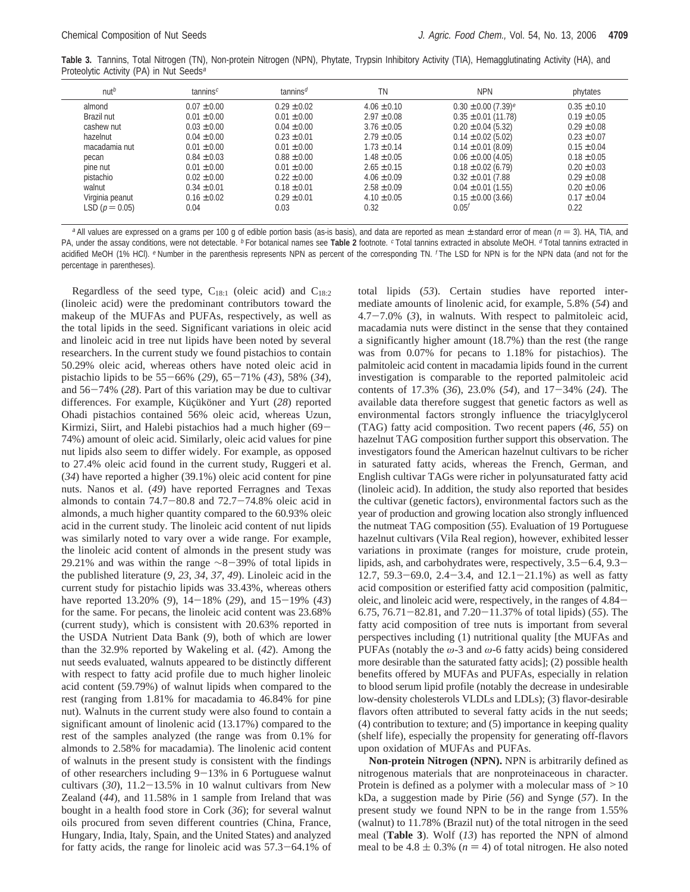**Table 3.** Tannins, Total Nitrogen (TN), Non-protein Nitrogen (NPN), Phytate, Trypsin Inhibitory Activity (TIA), Hemagglutinating Activity (HA), and Proteolytic Activity (PA) in Nut Seeds<sup>a</sup>

| nut <sup>b</sup>   | tannins <sup><math>c</math></sup> | tannins <sup>d</sup> | ΤN              | <b>NPN</b>                          | phytates        |
|--------------------|-----------------------------------|----------------------|-----------------|-------------------------------------|-----------------|
| almond             | $0.07 \pm 0.00$                   | $0.29 \pm 0.02$      | $4.06 \pm 0.10$ | $0.30 \pm 0.00$ (7.39) <sup>e</sup> | $0.35 \pm 0.10$ |
| Brazil nut         | $0.01 \pm 0.00$                   | $0.01 \pm 0.00$      | $2.97 \pm 0.08$ | $0.35 \pm 0.01$ (11.78)             | $0.19 \pm 0.05$ |
| cashew nut         | $0.03 \pm 0.00$                   | $0.04 \pm 0.00$      | $3.76 \pm 0.05$ | $0.20 \pm 0.04$ (5.32)              | $0.29 \pm 0.08$ |
| hazelnut           | $0.04 \pm 0.00$                   | $0.23 \pm 0.01$      | $2.79 \pm 0.05$ | $0.14 \pm 0.02$ (5.02)              | $0.23 \pm 0.07$ |
| macadamia nut      | $0.01 \pm 0.00$                   | $0.01 \pm 0.00$      | $1.73 \pm 0.14$ | $0.14 \pm 0.01$ (8.09)              | $0.15 \pm 0.04$ |
| pecan              | $0.84 \pm 0.03$                   | $0.88 \pm 0.00$      | $1.48 \pm 0.05$ | $0.06 \pm 0.00$ (4.05)              | $0.18 \pm 0.05$ |
| pine nut           | $0.01 \pm 0.00$                   | $0.01 \pm 0.00$      | $2.65 \pm 0.15$ | $0.18 \pm 0.02$ (6.79)              | $0.20 \pm 0.03$ |
| pistachio          | $0.02 \pm 0.00$                   | $0.22 \pm 0.00$      | $4.06 \pm 0.09$ | $0.32 \pm 0.01$ (7.88)              | $0.29 \pm 0.08$ |
| walnut             | $0.34 \pm 0.01$                   | $0.18 \pm 0.01$      | $2.58 \pm 0.09$ | $0.04 \pm 0.01$ (1.55)              | $0.20 \pm 0.06$ |
| Virginia peanut    | $0.16 \pm 0.02$                   | $0.29 \pm 0.01$      | $4.10 \pm 0.05$ | $0.15 \pm 0.00$ (3.66)              | $0.17 \pm 0.04$ |
| LSD ( $p = 0.05$ ) | 0.04                              | 0.03                 | 0.32            | $0.05^{t}$                          | 0.22            |

<sup>a</sup> All values are expressed on a grams per 100 g of edible portion basis (as-is basis), and data are reported as mean  $\pm$  standard error of mean ( $n = 3$ ). HA, TIA, and PA, under the assay conditions, were not detectable. <sup>b</sup> For botanical names see Table 2 footnote. <sup>c</sup> Total tannins extracted in absolute MeOH. <sup>d</sup> Total tannins extracted in acidified MeOH (1% HCl). <sup>e</sup> Number in the parenthesis represents NPN as percent of the corresponding TN. <sup>f</sup> The LSD for NPN is for the NPN data (and not for the percentage in parentheses).

Regardless of the seed type,  $C_{18:1}$  (oleic acid) and  $C_{18:2}$ (linoleic acid) were the predominant contributors toward the makeup of the MUFAs and PUFAs, respectively, as well as the total lipids in the seed. Significant variations in oleic acid and linoleic acid in tree nut lipids have been noted by several researchers. In the current study we found pistachios to contain 50.29% oleic acid, whereas others have noted oleic acid in pistachio lipids to be 55-66% (*29*), 65-71% (*43*), 58% (*34*), and 56-74% (*28*). Part of this variation may be due to cultivar differences. For example, Küçüköner and Yurt (28) reported Ohadi pistachios contained 56% oleic acid, whereas Uzun, Kirmizi, Siirt, and Halebi pistachios had a much higher (69- 74%) amount of oleic acid. Similarly, oleic acid values for pine nut lipids also seem to differ widely. For example, as opposed to 27.4% oleic acid found in the current study, Ruggeri et al. (*34*) have reported a higher (39.1%) oleic acid content for pine nuts. Nanos et al. (*49*) have reported Ferragnes and Texas almonds to contain  $74.7-80.8$  and  $72.7-74.8\%$  oleic acid in almonds, a much higher quantity compared to the 60.93% oleic acid in the current study. The linoleic acid content of nut lipids was similarly noted to vary over a wide range. For example, the linoleic acid content of almonds in the present study was 29.21% and was within the range <sup>∼</sup>8-39% of total lipids in the published literature (*9*, *23*, *34*, *37*, *49*). Linoleic acid in the current study for pistachio lipids was 33.43%, whereas others have reported 13.20% (*9*), 14-18% (*29*), and 15-19% (*43*) for the same. For pecans, the linoleic acid content was 23.68% (current study), which is consistent with 20.63% reported in the USDA Nutrient Data Bank (*9*), both of which are lower than the 32.9% reported by Wakeling et al. (*42*). Among the nut seeds evaluated, walnuts appeared to be distinctly different with respect to fatty acid profile due to much higher linoleic acid content (59.79%) of walnut lipids when compared to the rest (ranging from 1.81% for macadamia to 46.84% for pine nut). Walnuts in the current study were also found to contain a significant amount of linolenic acid (13.17%) compared to the rest of the samples analyzed (the range was from 0.1% for almonds to 2.58% for macadamia). The linolenic acid content of walnuts in the present study is consistent with the findings of other researchers including 9-13% in 6 Portuguese walnut cultivars  $(30)$ ,  $11.2-13.5%$  in 10 walnut cultivars from New Zealand (*44*), and 11.58% in 1 sample from Ireland that was bought in a health food store in Cork (*36*); for several walnut oils procured from seven different countries (China, France, Hungary, India, Italy, Spain, and the United States) and analyzed for fatty acids, the range for linoleic acid was 57.3-64.1% of

total lipids (*53*). Certain studies have reported intermediate amounts of linolenic acid, for example, 5.8% (*54*) and 4.7-7.0% (*3*), in walnuts. With respect to palmitoleic acid, macadamia nuts were distinct in the sense that they contained a significantly higher amount (18.7%) than the rest (the range was from 0.07% for pecans to 1.18% for pistachios). The palmitoleic acid content in macadamia lipids found in the current investigation is comparable to the reported palmitoleic acid contents of 17.3% (*36*), 23.0% (*54*), and 17-34% (*24*). The available data therefore suggest that genetic factors as well as environmental factors strongly influence the triacylglycerol (TAG) fatty acid composition. Two recent papers (*46*, *55*) on hazelnut TAG composition further support this observation. The investigators found the American hazelnut cultivars to be richer in saturated fatty acids, whereas the French, German, and English cultivar TAGs were richer in polyunsaturated fatty acid (linoleic acid). In addition, the study also reported that besides the cultivar (genetic factors), environmental factors such as the year of production and growing location also strongly influenced the nutmeat TAG composition (*55*). Evaluation of 19 Portuguese hazelnut cultivars (Vila Real region), however, exhibited lesser variations in proximate (ranges for moisture, crude protein, lipids, ash, and carbohydrates were, respectively, 3.5-6.4, 9.3- 12.7, 59.3-69.0, 2.4-3.4, and  $12.1-21.1\%$ ) as well as fatty acid composition or esterified fatty acid composition (palmitic, oleic, and linoleic acid were, respectively, in the ranges of 4.84- 6.75, 76.71-82.81, and 7.20-11.37% of total lipids) (*55*). The fatty acid composition of tree nuts is important from several perspectives including (1) nutritional quality [the MUFAs and PUFAs (notably the *ω*-3 and *ω*-6 fatty acids) being considered more desirable than the saturated fatty acids]; (2) possible health benefits offered by MUFAs and PUFAs, especially in relation to blood serum lipid profile (notably the decrease in undesirable low-density cholesterols VLDLs and LDLs); (3) flavor-desirable flavors often attributed to several fatty acids in the nut seeds; (4) contribution to texture; and (5) importance in keeping quality (shelf life), especially the propensity for generating off-flavors upon oxidation of MUFAs and PUFAs.

**Non-protein Nitrogen (NPN).** NPN is arbitrarily defined as nitrogenous materials that are nonproteinaceous in character. Protein is defined as a polymer with a molecular mass of  $>10$ kDa, a suggestion made by Pirie (*56*) and Synge (*57*). In the present study we found NPN to be in the range from 1.55% (walnut) to 11.78% (Brazil nut) of the total nitrogen in the seed meal (**Table 3**). Wolf (*13*) has reported the NPN of almond meal to be  $4.8 \pm 0.3\%$  ( $n = 4$ ) of total nitrogen. He also noted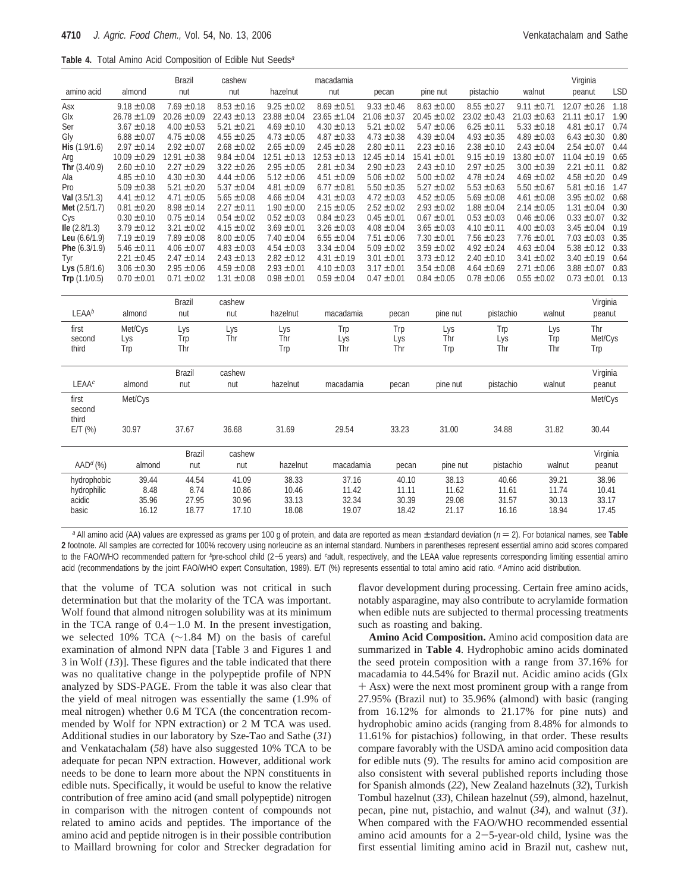| <b>Table 4.</b> Total Amino Acid Composition of Edible Nut Seeds <sup>a</sup> |  |
|-------------------------------------------------------------------------------|--|
|-------------------------------------------------------------------------------|--|

| amino acid           | almond           | <b>Brazil</b><br>nut | cashew<br>nut    | hazelnut         | macadamia<br>nut | pecan            | pine nut         | pistachio        | walnut           | Virginia<br>peanut | <b>LSD</b> |
|----------------------|------------------|----------------------|------------------|------------------|------------------|------------------|------------------|------------------|------------------|--------------------|------------|
|                      |                  |                      |                  |                  |                  |                  |                  |                  |                  |                    |            |
| Asx                  | $9.18 \pm 0.08$  | $7.69 \pm 0.18$      | $8.53 \pm 0.16$  | $9.25 \pm 0.02$  | $8.69 \pm 0.51$  | $9.33 \pm 0.46$  | $8.63 \pm 0.00$  | $8.55 \pm 0.27$  | $9.11 \pm 0.71$  | $12.07 \pm 0.26$   | 1.18       |
| Glx                  | $26.78 \pm 1.09$ | $20.26 \pm 0.09$     | $22.43 \pm 0.13$ | $23.88 \pm 0.04$ | $23.65 \pm 1.04$ | $21.06 \pm 0.37$ | $20.45 \pm 0.02$ | $23.02 \pm 0.43$ | $21.03 \pm 0.63$ | $21.11 \pm 0.17$   | 1.90       |
| Ser                  | $3.67 \pm 0.18$  | $4.00 \pm 0.53$      | $5.21 \pm 0.21$  | $4.69 \pm 0.10$  | $4.30 \pm 0.13$  | $5.21 \pm 0.02$  | $5.47 \pm 0.06$  | $6.25 \pm 0.11$  | $5.33 \pm 0.18$  | $4.81 \pm 0.17$    | 0.74       |
| Gly                  | $6.88 \pm 0.07$  | $4.75 \pm 0.08$      | $4.55 \pm 0.25$  | $4.73 \pm 0.05$  | $4.87 \pm 0.33$  | $4.73 \pm 0.38$  | $4.39 \pm 0.04$  | $4.93 \pm 0.35$  | $4.89 \pm 0.03$  | $6.43 \pm 0.30$    | 0.80       |
| His (1.9/1.6)        | $2.97 \pm 0.14$  | $2.92 \pm 0.07$      | $2.68 \pm 0.02$  | $2.65 \pm 0.09$  | $2.45 \pm 0.28$  | $2.80 \pm 0.11$  | $2.23 \pm 0.16$  | $2.38 \pm 0.10$  | $2.43 \pm 0.04$  | $2.54 \pm 0.07$    | 0.44       |
| Arg                  | $10.09 \pm 0.29$ | $12.91 \pm 0.38$     | $9.84 \pm 0.04$  | $12.51 \pm 0.13$ | $12.53 \pm 0.13$ | $12.45 \pm 0.14$ | $15.41 \pm 0.01$ | $9.15 \pm 0.19$  | $13.80 \pm 0.07$ | $11.04 \pm 0.19$   | 0.65       |
| Thr $(3.4/0.9)$      | $2.60 \pm 0.10$  | $2.27 \pm 0.29$      | $3.22 \pm 0.26$  | $2.95 \pm 0.05$  | $2.81 \pm 0.34$  | $2.90 \pm 0.23$  | $2.43 \pm 0.10$  | $2.97 \pm 0.25$  | $3.00 \pm 0.39$  | $2.21 \pm 0.11$    | 0.82       |
| Ala                  | $4.85 \pm 0.10$  | $4.30 \pm 0.30$      | $4.44 \pm 0.06$  | $5.12 \pm 0.06$  | $4.51 \pm 0.09$  | $5.06 \pm 0.02$  | $5.00 \pm 0.02$  | $4.78 \pm 0.24$  | $4.69 \pm 0.02$  | $4.58 \pm 0.20$    | 0.49       |
| Pro                  | $5.09 \pm 0.38$  | $5.21 \pm 0.20$      | $5.37 \pm 0.04$  | $4.81 \pm 0.09$  | $6.77 \pm 0.81$  | $5.50 \pm 0.35$  | $5.27 \pm 0.02$  | $5.53 \pm 0.63$  | $5.50 \pm 0.67$  | $5.81 \pm 0.16$    | 1.47       |
| Val $(3.5/1.3)$      | $4.41 \pm 0.12$  | $4.71 \pm 0.05$      | $5.65 \pm 0.08$  | $4.66 \pm 0.04$  | $4.31 \pm 0.03$  | $4.72 \pm 0.03$  | $4.52 \pm 0.05$  | $5.69 \pm 0.08$  | $4.61 \pm 0.08$  | $3.95 \pm 0.02$    | 0.68       |
| Met (2.5/1.7)        | $0.81 \pm 0.20$  | $8.98 \pm 0.14$      | $2.27 \pm 0.11$  | $1.90 \pm 0.00$  | $2.15 \pm 0.05$  | $2.52 \pm 0.02$  | $2.93 \pm 0.02$  | $1.88 \pm 0.04$  | $2.14 \pm 0.05$  | $1.31 \pm 0.04$    | 0.30       |
| Cys                  | $0.30 \pm 0.10$  | $0.75 \pm 0.14$      | $0.54 \pm 0.02$  | $0.52 \pm 0.03$  | $0.84 \pm 0.23$  | $0.45 \pm 0.01$  | $0.67 \pm 0.01$  | $0.53 \pm 0.03$  | $0.46 \pm 0.06$  | $0.33 \pm 0.07$    | 0.32       |
| $Ile$ (2.8/1.3)      | $3.79 \pm 0.12$  | $3.21 \pm 0.02$      | $4.15 \pm 0.02$  | $3.69 \pm 0.01$  | $3.26 \pm 0.03$  | $4.08 \pm 0.04$  | $3.65 \pm 0.03$  | $4.10 \pm 0.11$  | $4.00 \pm 0.03$  | $3.45 \pm 0.04$    | 0.19       |
| Leu $(6.6/1.9)$      | $7.19 \pm 0.19$  | $7.89 \pm 0.08$      | $8.00 \pm 0.05$  | $7.40 \pm 0.04$  | $6.55 \pm 0.04$  | $7.51 \pm 0.06$  | $7.30 \pm 0.01$  | $7.56 \pm 0.23$  | $7.76 \pm 0.01$  | $7.03 \pm 0.03$    | 0.35       |
| Phe (6.3/1.9)        | $5.46 \pm 0.11$  | $4.06 \pm 0.07$      | $4.83 \pm 0.03$  | $4.54 \pm 0.03$  | $3.34 \pm 0.04$  | $5.09 \pm 0.02$  | $3.59 \pm 0.02$  | $4.92 \pm 0.24$  | $4.63 \pm 0.04$  | $5.38 \pm 0.12$    | 0.33       |
| Tyr                  | $2.21 \pm 0.45$  | $2.47 \pm 0.14$      | $2.43 \pm 0.13$  | $2.82 \pm 0.12$  | $4.31 \pm 0.19$  | $3.01 \pm 0.01$  | $3.73 \pm 0.12$  | $2.40 \pm 0.10$  | $3.41 \pm 0.02$  | $3.40 \pm 0.19$    | 0.64       |
| Lys $(5.8/1.6)$      | $3.06 \pm 0.30$  | $2.95 \pm 0.06$      | $4.59 \pm 0.08$  | $2.93 \pm 0.01$  | $4.10 \pm 0.03$  | $3.17 \pm 0.01$  | $3.54 \pm 0.08$  | $4.64 \pm 0.69$  | $2.71 \pm 0.06$  | $3.88 \pm 0.07$    | 0.83       |
| Trp (1.1/0.5)        | $0.70 \pm 0.01$  | $0.71 \pm 0.02$      | $1.31 \pm 0.08$  | $0.98 \pm 0.01$  | $0.59 \pm 0.04$  | $0.47 \pm 0.01$  | $0.84 \pm 0.05$  | $0.78 \pm 0.06$  | $0.55 \pm 0.02$  | $0.73 \pm 0.01$    | 0.13       |
|                      |                  | <b>Brazil</b>        | cashew           |                  |                  |                  |                  |                  |                  | Virginia           |            |
| $LEAA^b$             | almond           | nut                  | nut              | hazelnut         | macadamia        | pecan            | pine nut         | pistachio        | walnut           | peanut             |            |
| first                | Met/Cys          | Lys                  | Lys              | Lys              | Trp              | Trp              | Lys              | Trp              | Lys              | Thr                |            |
| second               | Lys              | Trp                  | Thr              | Thr              | Lys              | Lys              | Thr              | Lys              | Trp              | Met/Cys            |            |
| third                | Trp              | Thr                  |                  | Trp              | Thr              | Thr              | Trp              | Thr              | Thr              | Trp                |            |
|                      |                  |                      |                  |                  |                  |                  |                  |                  |                  |                    |            |
|                      |                  | <b>Brazil</b>        | cashew           |                  |                  |                  |                  |                  |                  | Virginia           |            |
| LEAA <sup>c</sup>    | almond           | nut                  | nut              | hazelnut         | macadamia        | pecan            | pine nut         | pistachio        | walnut           | peanut             |            |
| first                | Met/Cys          |                      |                  |                  |                  |                  |                  |                  |                  | Met/Cys            |            |
| second               |                  |                      |                  |                  |                  |                  |                  |                  |                  |                    |            |
| third                |                  |                      |                  |                  |                  |                  |                  |                  |                  |                    |            |
| $E/T$ (%)            | 30.97            | 37.67                | 36.68            | 31.69            | 29.54            | 33.23            | 31.00            | 34.88            | 31.82            | 30.44              |            |
|                      |                  | <b>Brazil</b>        | cashew           |                  |                  |                  |                  |                  |                  | Virginia           |            |
| AAD <sup>d</sup> (%) | almond           | nut                  | nut              | hazelnut         | macadamia        | pecan            | pine nut         | pistachio        |                  | walnut<br>peanut   |            |
| hydrophobic          | 39.44            | 44.54                | 41.09            | 38.33            | 37.16            | 40.10            | 38.13            | 40.66            | 39.21            | 38.96              |            |
| hydrophilic          | 8.48             | 8.74                 | 10.86            | 10.46            | 11.42            | 11.11            | 11.62            | 11.61            |                  | 11.74<br>10.41     |            |
| acidic               | 35.96            | 27.95                | 30.96            | 33.13            | 32.34            | 30.39            | 29.08            | 31.57            |                  | 30.13<br>33.17     |            |
| basic                | 16.12            | 18.77                | 17.10            | 18.08            | 19.07            | 18.42            | 21.17            | 16.16            |                  | 18.94<br>17.45     |            |
|                      |                  |                      |                  |                  |                  |                  |                  |                  |                  |                    |            |

<sup>a</sup> All amino acid (AA) values are expressed as grams per 100 g of protein, and data are reported as mean  $\pm$  standard deviation ( $n = 2$ ). For botanical names, see Table **2** footnote. All samples are corrected for 100% recovery using norleucine as an internal standard. Numbers in parentheses represent essential amino acid scores compared to the FAO/WHO recommended pattern for <sup>b</sup>pre-school child (2–5 years) and <sup>c</sup>adult, respectively, and the LEAA value represents corresponding limiting essential amino acid (recommendations by the joint FAO/WHO expert Consultation, 1989). E/T (%) represents essential to total amino acid ratio. <sup>d</sup> Amino acid distribution.

that the volume of TCA solution was not critical in such determination but that the molarity of the TCA was important. Wolf found that almond nitrogen solubility was at its minimum in the TCA range of  $0.4-1.0$  M. In the present investigation, we selected 10% TCA (∼1.84 M) on the basis of careful examination of almond NPN data [Table 3 and Figures 1 and 3 in Wolf (*13*)]. These figures and the table indicated that there was no qualitative change in the polypeptide profile of NPN analyzed by SDS-PAGE. From the table it was also clear that the yield of meal nitrogen was essentially the same (1.9% of meal nitrogen) whether 0.6 M TCA (the concentration recommended by Wolf for NPN extraction) or 2 M TCA was used. Additional studies in our laboratory by Sze-Tao and Sathe (*31*) and Venkatachalam (*58*) have also suggested 10% TCA to be adequate for pecan NPN extraction. However, additional work needs to be done to learn more about the NPN constituents in edible nuts. Specifically, it would be useful to know the relative contribution of free amino acid (and small polypeptide) nitrogen in comparison with the nitrogen content of compounds not related to amino acids and peptides. The importance of the amino acid and peptide nitrogen is in their possible contribution to Maillard browning for color and Strecker degradation for

flavor development during processing. Certain free amino acids, notably asparagine, may also contribute to acrylamide formation when edible nuts are subjected to thermal processing treatments such as roasting and baking.

**Amino Acid Composition.** Amino acid composition data are summarized in **Table 4**. Hydrophobic amino acids dominated the seed protein composition with a range from 37.16% for macadamia to 44.54% for Brazil nut. Acidic amino acids (Glx + Asx) were the next most prominent group with a range from 27.95% (Brazil nut) to 35.96% (almond) with basic (ranging from 16.12% for almonds to 21.17% for pine nuts) and hydrophobic amino acids (ranging from 8.48% for almonds to 11.61% for pistachios) following, in that order. These results compare favorably with the USDA amino acid composition data for edible nuts (*9*). The results for amino acid composition are also consistent with several published reports including those for Spanish almonds (*22*), New Zealand hazelnuts (*32*), Turkish Tombul hazelnut (*33*), Chilean hazelnut (*59*), almond, hazelnut, pecan, pine nut, pistachio, and walnut (*34*), and walnut (*31*). When compared with the FAO/WHO recommended essential amino acid amounts for a  $2-5$ -year-old child, lysine was the first essential limiting amino acid in Brazil nut, cashew nut,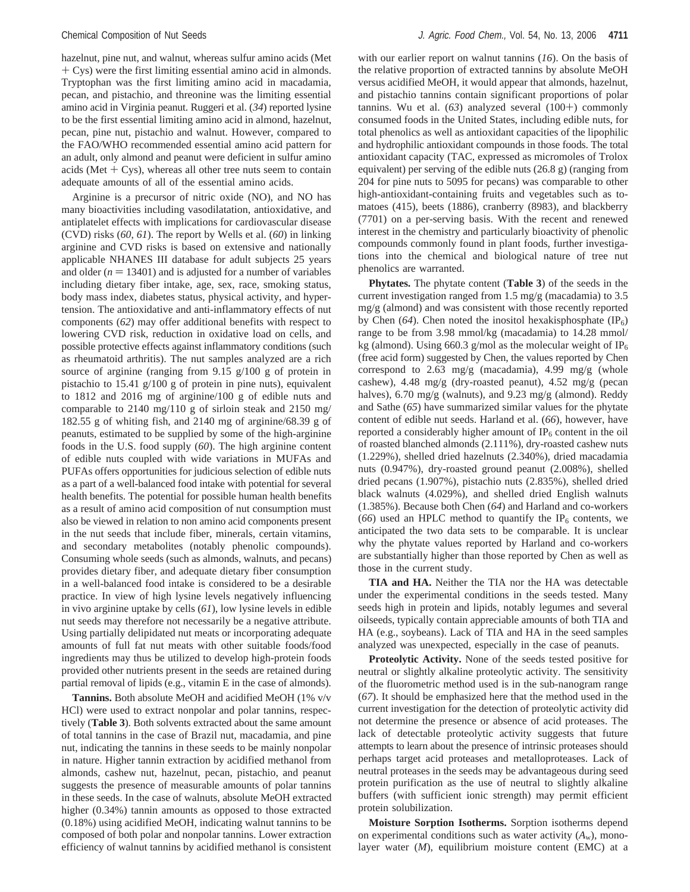hazelnut, pine nut, and walnut, whereas sulfur amino acids (Met + Cys) were the first limiting essential amino acid in almonds. Tryptophan was the first limiting amino acid in macadamia, pecan, and pistachio, and threonine was the limiting essential amino acid in Virginia peanut. Ruggeri et al. (*34*) reported lysine to be the first essential limiting amino acid in almond, hazelnut, pecan, pine nut, pistachio and walnut. However, compared to the FAO/WHO recommended essential amino acid pattern for an adult, only almond and peanut were deficient in sulfur amino acids (Met  $+$  Cys), whereas all other tree nuts seem to contain adequate amounts of all of the essential amino acids.

Arginine is a precursor of nitric oxide (NO), and NO has many bioactivities including vasodilatation, antioxidative, and antiplatelet effects with implications for cardiovascular disease (CVD) risks (*60*, *61*). The report by Wells et al. (*60*) in linking arginine and CVD risks is based on extensive and nationally applicable NHANES III database for adult subjects 25 years and older  $(n = 13401)$  and is adjusted for a number of variables including dietary fiber intake, age, sex, race, smoking status, body mass index, diabetes status, physical activity, and hypertension. The antioxidative and anti-inflammatory effects of nut components (*62*) may offer additional benefits with respect to lowering CVD risk, reduction in oxidative load on cells, and possible protective effects against inflammatory conditions (such as rheumatoid arthritis). The nut samples analyzed are a rich source of arginine (ranging from 9.15 g/100 g of protein in pistachio to 15.41 g/100 g of protein in pine nuts), equivalent to 1812 and 2016 mg of arginine/100 g of edible nuts and comparable to 2140 mg/110 g of sirloin steak and 2150 mg/ 182.55 g of whiting fish, and 2140 mg of arginine/68.39 g of peanuts, estimated to be supplied by some of the high-arginine foods in the U.S. food supply (*60*). The high arginine content of edible nuts coupled with wide variations in MUFAs and PUFAs offers opportunities for judicious selection of edible nuts as a part of a well-balanced food intake with potential for several health benefits. The potential for possible human health benefits as a result of amino acid composition of nut consumption must also be viewed in relation to non amino acid components present in the nut seeds that include fiber, minerals, certain vitamins, and secondary metabolites (notably phenolic compounds). Consuming whole seeds (such as almonds, walnuts, and pecans) provides dietary fiber, and adequate dietary fiber consumption in a well-balanced food intake is considered to be a desirable practice. In view of high lysine levels negatively influencing in vivo arginine uptake by cells (*61*), low lysine levels in edible nut seeds may therefore not necessarily be a negative attribute. Using partially delipidated nut meats or incorporating adequate amounts of full fat nut meats with other suitable foods/food ingredients may thus be utilized to develop high-protein foods provided other nutrients present in the seeds are retained during partial removal of lipids (e.g., vitamin E in the case of almonds).

**Tannins.** Both absolute MeOH and acidified MeOH (1% v/v HCl) were used to extract nonpolar and polar tannins, respectively (**Table 3**). Both solvents extracted about the same amount of total tannins in the case of Brazil nut, macadamia, and pine nut, indicating the tannins in these seeds to be mainly nonpolar in nature. Higher tannin extraction by acidified methanol from almonds, cashew nut, hazelnut, pecan, pistachio, and peanut suggests the presence of measurable amounts of polar tannins in these seeds. In the case of walnuts, absolute MeOH extracted higher (0.34%) tannin amounts as opposed to those extracted (0.18%) using acidified MeOH, indicating walnut tannins to be composed of both polar and nonpolar tannins. Lower extraction efficiency of walnut tannins by acidified methanol is consistent

with our earlier report on walnut tannins (*16*). On the basis of the relative proportion of extracted tannins by absolute MeOH versus acidified MeOH, it would appear that almonds, hazelnut, and pistachio tannins contain significant proportions of polar tannins. Wu et al. (*63*) analyzed several (100+) commonly consumed foods in the United States, including edible nuts, for total phenolics as well as antioxidant capacities of the lipophilic and hydrophilic antioxidant compounds in those foods. The total antioxidant capacity (TAC, expressed as micromoles of Trolox equivalent) per serving of the edible nuts (26.8 g) (ranging from 204 for pine nuts to 5095 for pecans) was comparable to other high-antioxidant-containing fruits and vegetables such as tomatoes (415), beets (1886), cranberry (8983), and blackberry (7701) on a per-serving basis. With the recent and renewed interest in the chemistry and particularly bioactivity of phenolic compounds commonly found in plant foods, further investigations into the chemical and biological nature of tree nut phenolics are warranted.

**Phytates.** The phytate content (**Table 3**) of the seeds in the current investigation ranged from 1.5 mg/g (macadamia) to 3.5 mg/g (almond) and was consistent with those recently reported by Chen  $(64)$ . Chen noted the inositol hexakisphosphate  $(IP_6)$ range to be from 3.98 mmol/kg (macadamia) to 14.28 mmol/ kg (almond). Using 660.3 g/mol as the molecular weight of  $IP_6$ (free acid form) suggested by Chen, the values reported by Chen correspond to 2.63 mg/g (macadamia), 4.99 mg/g (whole cashew), 4.48 mg/g (dry-roasted peanut), 4.52 mg/g (pecan halves), 6.70 mg/g (walnuts), and 9.23 mg/g (almond). Reddy and Sathe (*65*) have summarized similar values for the phytate content of edible nut seeds. Harland et al. (*66*), however, have reported a considerably higher amount of  $IP<sub>6</sub>$  content in the oil of roasted blanched almonds (2.111%), dry-roasted cashew nuts (1.229%), shelled dried hazelnuts (2.340%), dried macadamia nuts (0.947%), dry-roasted ground peanut (2.008%), shelled dried pecans (1.907%), pistachio nuts (2.835%), shelled dried black walnuts (4.029%), and shelled dried English walnuts (1.385%). Because both Chen (*64*) and Harland and co-workers  $(66)$  used an HPLC method to quantify the IP<sub>6</sub> contents, we anticipated the two data sets to be comparable. It is unclear why the phytate values reported by Harland and co-workers are substantially higher than those reported by Chen as well as those in the current study.

**TIA and HA.** Neither the TIA nor the HA was detectable under the experimental conditions in the seeds tested. Many seeds high in protein and lipids, notably legumes and several oilseeds, typically contain appreciable amounts of both TIA and HA (e.g., soybeans). Lack of TIA and HA in the seed samples analyzed was unexpected, especially in the case of peanuts.

**Proteolytic Activity.** None of the seeds tested positive for neutral or slightly alkaline proteolytic activity. The sensitivity of the fluorometric method used is in the sub-nanogram range (*67*). It should be emphasized here that the method used in the current investigation for the detection of proteolytic activity did not determine the presence or absence of acid proteases. The lack of detectable proteolytic activity suggests that future attempts to learn about the presence of intrinsic proteases should perhaps target acid proteases and metalloproteases. Lack of neutral proteases in the seeds may be advantageous during seed protein purification as the use of neutral to slightly alkaline buffers (with sufficient ionic strength) may permit efficient protein solubilization.

**Moisture Sorption Isotherms.** Sorption isotherms depend on experimental conditions such as water activity  $(A_w)$ , monolayer water (*M*), equilibrium moisture content (EMC) at a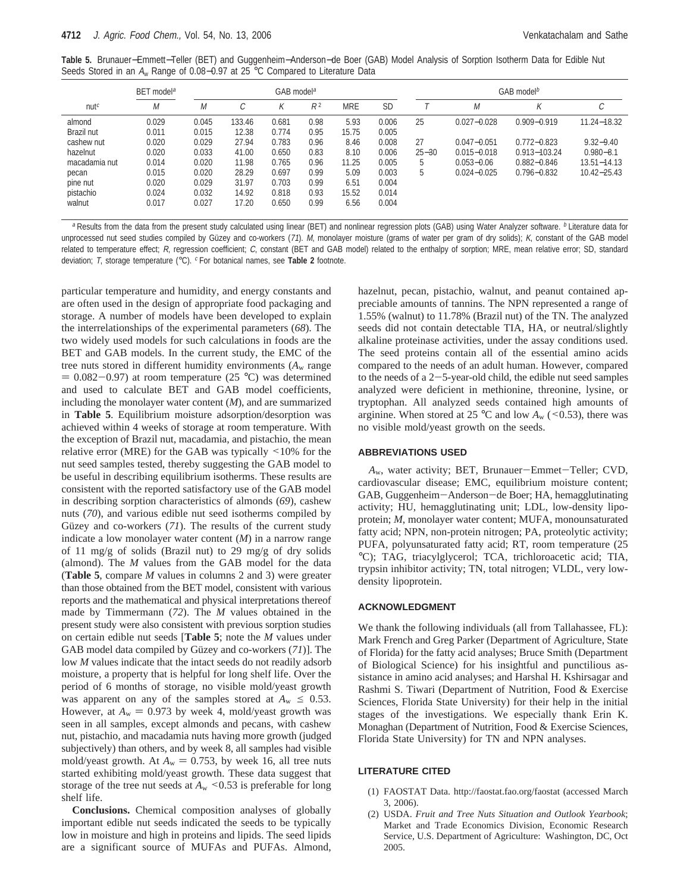**Table 5.** Brunauer−Emmett−Teller (BET) and Guggenheim−Anderson−de Boer (GAB) Model Analysis of Sorption Isotherm Data for Edible Nut Seeds Stored in an A<sup>w</sup> Range of 0.08−0.97 at 25 °C Compared to Literature Data

|                  | BET model <sup>a</sup> |       | GAB model <sup>a</sup> |       |                |            | GAB model <sup>b</sup> |           |                 |                 |                 |
|------------------|------------------------|-------|------------------------|-------|----------------|------------|------------------------|-----------|-----------------|-----------------|-----------------|
| nut <sup>c</sup> | M                      | M     | ⌒                      |       | R <sup>2</sup> | <b>MRE</b> | <b>SD</b>              |           | M               | Κ               | С               |
| almond           | 0.029                  | 0.045 | 133.46                 | 0.681 | 0.98           | 5.93       | 0.006                  | 25        | $0.027 - 0.028$ | $0.909 - 0.919$ | 11.24-18.32     |
| Brazil nut       | 0.011                  | 0.015 | 12.38                  | 0.774 | 0.95           | 15.75      | 0.005                  |           |                 |                 |                 |
| cashew nut       | 0.020                  | 0.029 | 27.94                  | 0.783 | 0.96           | 8.46       | 0.008                  | 27        | $0.047 - 0.051$ | $0.772 - 0.823$ | $9.32 - 9.40$   |
| hazelnut         | 0.020                  | 0.033 | 41.00                  | 0.650 | 0.83           | 8.10       | 0.006                  | $25 - 30$ | $0.015 - 0.018$ | 0.913-103.24    | $0.980 - 8.1$   |
| macadamia nut    | 0.014                  | 0.020 | 11.98                  | 0.765 | 0.96           | 11.25      | 0.005                  | 5         | $0.053 - 0.06$  | $0.882 - 0.846$ | $13.51 - 14.13$ |
| pecan            | 0.015                  | 0.020 | 28.29                  | 0.697 | 0.99           | 5.09       | 0.003                  | 5         | $0.024 - 0.025$ | $0.796 - 0.832$ | $10.42 - 25.43$ |
| pine nut         | 0.020                  | 0.029 | 31.97                  | 0.703 | 0.99           | 6.51       | 0.004                  |           |                 |                 |                 |
| pistachio        | 0.024                  | 0.032 | 14.92                  | 0.818 | 0.93           | 15.52      | 0.014                  |           |                 |                 |                 |
| walnut           | 0.017                  | 0.027 | 17.20                  | 0.650 | 0.99           | 6.56       | 0.004                  |           |                 |                 |                 |
|                  |                        |       |                        |       |                |            |                        |           |                 |                 |                 |

a Results from the data from the present study calculated using linear (BET) and nonlinear regression plots (GAB) using Water Analyzer software. <sup>b</sup> Literature data for unprocessed nut seed studies compiled by Güzey and co-workers (71). M, monolayer moisture (grams of water per gram of dry solids); K, constant of the GAB model related to temperature effect; R, regression coefficient; C, constant (BET and GAB model) related to the enthalpy of sorption; MRE, mean relative error; SD, standard deviation; T, storage temperature (°C). <sup>c</sup> For botanical names, see Table 2 footnote.

particular temperature and humidity, and energy constants and are often used in the design of appropriate food packaging and storage. A number of models have been developed to explain the interrelationships of the experimental parameters (*68*). The two widely used models for such calculations in foods are the BET and GAB models. In the current study, the EMC of the tree nuts stored in different humidity environments  $(A<sub>w</sub>$  range  $= 0.082 - 0.97$ ) at room temperature (25 °C) was determined and used to calculate BET and GAB model coefficients, including the monolayer water content (*M*), and are summarized in **Table 5**. Equilibrium moisture adsorption/desorption was achieved within 4 weeks of storage at room temperature. With the exception of Brazil nut, macadamia, and pistachio, the mean relative error (MRE) for the GAB was typically <10% for the nut seed samples tested, thereby suggesting the GAB model to be useful in describing equilibrium isotherms. These results are consistent with the reported satisfactory use of the GAB model in describing sorption characteristics of almonds (*69*), cashew nuts (*70*), and various edible nut seed isotherms compiled by Güzey and co-workers (71). The results of the current study indicate a low monolayer water content (*M*) in a narrow range of 11 mg/g of solids (Brazil nut) to 29 mg/g of dry solids (almond). The *M* values from the GAB model for the data (**Table 5**, compare *M* values in columns 2 and 3) were greater than those obtained from the BET model, consistent with various reports and the mathematical and physical interpretations thereof made by Timmermann (*72*). The *M* values obtained in the present study were also consistent with previous sorption studies on certain edible nut seeds [**Table 5**; note the *M* values under GAB model data compiled by Güzey and co-workers (71)]. The low *M* values indicate that the intact seeds do not readily adsorb moisture, a property that is helpful for long shelf life. Over the period of 6 months of storage, no visible mold/yeast growth was apparent on any of the samples stored at  $A_w \leq 0.53$ . However, at  $A_w = 0.973$  by week 4, mold/yeast growth was seen in all samples, except almonds and pecans, with cashew nut, pistachio, and macadamia nuts having more growth (judged subjectively) than others, and by week 8, all samples had visible mold/yeast growth. At  $A_w = 0.753$ , by week 16, all tree nuts started exhibiting mold/yeast growth. These data suggest that storage of the tree nut seeds at  $A_w \leq 0.53$  is preferable for long shelf life.

**Conclusions.** Chemical composition analyses of globally important edible nut seeds indicated the seeds to be typically low in moisture and high in proteins and lipids. The seed lipids are a significant source of MUFAs and PUFAs. Almond,

hazelnut, pecan, pistachio, walnut, and peanut contained appreciable amounts of tannins. The NPN represented a range of 1.55% (walnut) to 11.78% (Brazil nut) of the TN. The analyzed seeds did not contain detectable TIA, HA, or neutral/slightly alkaline proteinase activities, under the assay conditions used. The seed proteins contain all of the essential amino acids compared to the needs of an adult human. However, compared to the needs of a  $2-5$ -year-old child, the edible nut seed samples analyzed were deficient in methionine, threonine, lysine, or tryptophan. All analyzed seeds contained high amounts of arginine. When stored at 25 °C and low  $A_w$  (<0.53), there was no visible mold/yeast growth on the seeds.

### **ABBREVIATIONS USED**

*<sup>A</sup>*w, water activity; BET, Brunauer-Emmet-Teller; CVD, cardiovascular disease; EMC, equilibrium moisture content; GAB, Guggenheim-Anderson-de Boer; HA, hemagglutinating activity; HU, hemagglutinating unit; LDL, low-density lipoprotein; *M*, monolayer water content; MUFA, monounsaturated fatty acid; NPN, non-protein nitrogen; PA, proteolytic activity; PUFA, polyunsaturated fatty acid; RT, room temperature (25 °C); TAG, triacylglycerol; TCA, trichloroacetic acid; TIA, trypsin inhibitor activity; TN, total nitrogen; VLDL, very lowdensity lipoprotein.

#### **ACKNOWLEDGMENT**

We thank the following individuals (all from Tallahassee, FL): Mark French and Greg Parker (Department of Agriculture, State of Florida) for the fatty acid analyses; Bruce Smith (Department of Biological Science) for his insightful and punctilious assistance in amino acid analyses; and Harshal H. Kshirsagar and Rashmi S. Tiwari (Department of Nutrition, Food & Exercise Sciences, Florida State University) for their help in the initial stages of the investigations. We especially thank Erin K. Monaghan (Department of Nutrition, Food & Exercise Sciences, Florida State University) for TN and NPN analyses.

#### **LITERATURE CITED**

- (1) FAOSTAT Data. http://faostat.fao.org/faostat (accessed March 3, 2006).
- (2) USDA. *Fruit and Tree Nuts Situation and Outlook Yearbook*; Market and Trade Economics Division, Economic Research Service, U.S. Department of Agriculture: Washington, DC, Oct 2005.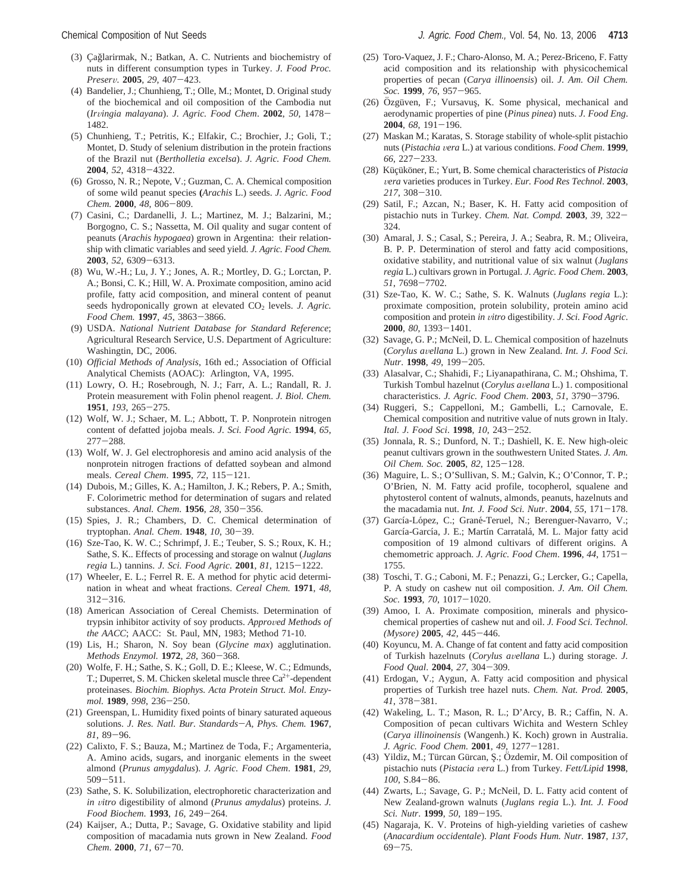- (4) Bandelier, J.; Chunhieng, T.; Olle, M.; Montet, D. Original study of the biochemical and oil composition of the Cambodia nut (*Ir*V*ingia malayana*). *J. Agric. Food Chem*. **<sup>2002</sup>**, *<sup>50</sup>*, 1478- 1482.
- (5) Chunhieng, T.; Petritis, K.; Elfakir, C.; Brochier, J.; Goli, T.; Montet, D. Study of selenium distribution in the protein fractions of the Brazil nut (*Bertholletia excelsa*). *J. Agric. Food Chem.* **<sup>2004</sup>**, *<sup>52</sup>*, 4318-4322.
- (6) Grosso, N. R.; Nepote, V.; Guzman, C. A. Chemical composition of some wild peanut species **(***Arachis* L.) seeds. *J. Agric. Food Chem.* **<sup>2000</sup>**, *<sup>48</sup>*, 806-809.
- (7) Casini, C.; Dardanelli, J. L.; Martinez, M. J.; Balzarini, M.; Borgogno, C. S.; Nassetta, M. Oil quality and sugar content of peanuts (*Arachis hypogaea*) grown in Argentina: their relationship with climatic variables and seed yield. *J. Agric. Food Chem.* **<sup>2003</sup>**, *<sup>52</sup>*, 6309-6313.
- (8) Wu, W.-H.; Lu, J. Y.; Jones, A. R.; Mortley, D. G.; Lorctan, P. A.; Bonsi, C. K.; Hill, W. A. Proximate composition, amino acid profile, fatty acid composition, and mineral content of peanut seeds hydroponically grown at elevated CO<sub>2</sub> levels. *J. Agric. Food Chem.* **<sup>1997</sup>**, *<sup>45</sup>*, 3863-3866.
- (9) USDA. *National Nutrient Database for Standard Reference*; Agricultural Research Service, U.S. Department of Agriculture: Washingtin, DC, 2006.
- (10) *Official Methods of Analysis*, 16th ed.; Association of Official Analytical Chemists (AOAC): Arlington, VA, 1995.
- (11) Lowry, O. H.; Rosebrough, N. J.; Farr, A. L.; Randall, R. J. Protein measurement with Folin phenol reagent. *J. Biol. Chem.* **<sup>1951</sup>**, *<sup>193</sup>*, 265-275.
- (12) Wolf, W. J.; Schaer, M. L.; Abbott, T. P. Nonprotein nitrogen content of defatted jojoba meals. *J. Sci. Food Agric.* **1994**, *65*, <sup>277</sup>-288.
- (13) Wolf, W. J. Gel electrophoresis and amino acid analysis of the nonprotein nitrogen fractions of defatted soybean and almond meals. *Cereal Chem*. **<sup>1995</sup>**, *<sup>72</sup>*, 115-121.
- (14) Dubois, M.; Gilles, K. A.; Hamilton, J. K.; Rebers, P. A.; Smith, F. Colorimetric method for determination of sugars and related substances. *Anal. Chem*. **<sup>1956</sup>**, *<sup>28</sup>*, 350-356.
- (15) Spies, J. R.; Chambers, D. C. Chemical determination of tryptophan. *Anal. Chem*. **<sup>1948</sup>**, *<sup>10</sup>*, 30-39.
- (16) Sze-Tao, K. W. C.; Schrimpf, J. E.; Teuber, S. S.; Roux, K. H.; Sathe, S. K.. Effects of processing and storage on walnut (*Juglans regia* L.) tannins. *J. Sci. Food Agric*. **<sup>2001</sup>**, *<sup>81</sup>*, 1215-1222.
- (17) Wheeler, E. L.; Ferrel R. E. A method for phytic acid determination in wheat and wheat fractions. *Cereal Chem.* **1971**, *48*, <sup>312</sup>-316.
- (18) American Association of Cereal Chemists. Determination of trypsin inhibitor activity of soy products. *Approved Methods of the AACC*; AACC: St. Paul, MN, 1983; Method 71-10.
- (19) Lis, H.; Sharon, N. Soy bean (*Glycine max*) agglutination. *Methods Enzymol.* **<sup>1972</sup>**, *<sup>28</sup>*, 360-368.
- (20) Wolfe, F. H.; Sathe, S. K.; Goll, D. E.; Kleese, W. C.; Edmunds, T.; Duperret, S. M. Chicken skeletal muscle three Ca<sup>2+</sup>-dependent proteinases. *Biochim. Biophys. Acta Protein Struct. Mol. Enzymol.* **<sup>1989</sup>**, *<sup>998</sup>*, 236-250.
- (21) Greenspan, L. Humidity fixed points of binary saturated aqueous solutions. *J. Res. Natl. Bur. Standards*-*A, Phys. Chem.* **<sup>1967</sup>**, *<sup>81</sup>*, 89-96.
- (22) Calixto, F. S.; Bauza, M.; Martinez de Toda, F.; Argamenteria, A. Amino acids, sugars, and inorganic elements in the sweet almond (*Prunus amygdalus*). *J. Agric. Food Chem*. **1981**, *29*, <sup>509</sup>-511.
- (23) Sathe, S. K. Solubilization, electrophoretic characterization and *in* vitro digestibility of almond (*Prunus amydalus*) proteins. *J. Food Biochem*. **<sup>1993</sup>**, *<sup>16</sup>*, 249-264.
- (24) Kaijser, A.; Dutta, P.; Savage, G. Oxidative stability and lipid composition of macadamia nuts grown in New Zealand. *Food Chem*. **<sup>2000</sup>**, *<sup>71</sup>*, 67-70.
- (25) Toro-Vaquez, J. F.; Charo-Alonso, M. A.; Perez-Briceno, F. Fatty acid composition and its relationship with physicochemical properties of pecan (*Carya illinoensis*) oil. *J. Am. Oil Chem. Soc.* **<sup>1999</sup>**, *<sup>76</sup>*, 957-965.
- (26) Özgüven, F.; Vursavuş, K. Some physical, mechanical and aerodynamic properties of pine (*Pinus pinea*) nuts. *J. Food Eng*. **<sup>2004</sup>**, *<sup>68</sup>*, 191-196.
- (27) Maskan M.; Karatas, S. Storage stability of whole-split pistachio nuts (*Pistachia* V*era* L.) at various conditions. *Food Chem*. **<sup>1999</sup>**, *<sup>66</sup>*, 227-233.
- (28) Küçüköner, E.; Yurt, B. Some chemical characteristics of *Pistacia* V*era* varieties produces in Turkey. *Eur. Food Res Technol*. **<sup>2003</sup>**, *<sup>217</sup>*, 308-310.
- (29) Satil, F.; Azcan, N.; Baser, K. H. Fatty acid composition of pistachio nuts in Turkey. *Chem. Nat. Compd.* **<sup>2003</sup>**, *<sup>39</sup>*, 322- 324.
- (30) Amaral, J. S.; Casal, S.; Pereira, J. A.; Seabra, R. M.; Oliveira, B. P. P. Determination of sterol and fatty acid compositions, oxidative stability, and nutritional value of six walnut (*Juglans regia* L.) cultivars grown in Portugal. *J. Agric. Food Chem*. **2003**, *<sup>51</sup>*, 7698-7702.
- (31) Sze-Tao, K. W. C.; Sathe, S. K. Walnuts (*Juglans regia* L.): proximate composition, protein solubility, protein amino acid composition and protein *in* V*itro* digestibility. *J. Sci. Food Agric*. **<sup>2000</sup>**, *<sup>80</sup>*, 1393-1401.
- (32) Savage, G. P.; McNeil, D. L. Chemical composition of hazelnuts (*Corylus a*V*ellana* L.) grown in New Zealand. *Int. J. Food Sci. Nutr*. **<sup>1998</sup>**, *<sup>49</sup>*, 199-205.
- (33) Alasalvar, C.; Shahidi, F.; Liyanapathirana, C. M.; Ohshima, T. Turkish Tombul hazelnut (*Corylus a*V*ellana* L.) 1. compositional characteristics. *J. Agric. Food Chem*. **<sup>2003</sup>**, *<sup>51</sup>*, 3790-3796.
- (34) Ruggeri, S.; Cappelloni, M.; Gambelli, L.; Carnovale, E. Chemical composition and nutritive value of nuts grown in Italy. *Ital. J. Food Sci*. **<sup>1998</sup>**, *<sup>10</sup>*, 243-252.
- (35) Jonnala, R. S.; Dunford, N. T.; Dashiell, K. E. New high-oleic peanut cultivars grown in the southwestern United States. *J. Am. Oil Chem. Soc.* **<sup>2005</sup>**, *<sup>82</sup>*, 125-128.
- (36) Maguire, L. S.; O'Sullivan, S. M.; Galvin, K.; O'Connor, T. P.; O'Brien, N. M. Fatty acid profile, tocopherol, squalene and phytosterol content of walnuts, almonds, peanuts, hazelnuts and the macadamia nut. *Int. J. Food Sci. Nutr*. **<sup>2004</sup>**, *<sup>55</sup>*, 171-178.
- (37) García-López, C.; Grané-Teruel, N.; Berenguer-Navarro, V.; García-García, J. E.; Martín Carratalá, M. L. Major fatty acid composition of 19 almond cultivars of different origins. A chemometric approach. *J. Agric. Food Chem*. **<sup>1996</sup>**, *<sup>44</sup>*, 1751- 1755.
- (38) Toschi, T. G.; Caboni, M. F.; Penazzi, G.; Lercker, G.; Capella, P. A study on cashew nut oil composition. *J. Am. Oil Chem. Soc*. **<sup>1993</sup>**, *<sup>70</sup>*, 1017-1020.
- (39) Amoo, I. A. Proximate composition, minerals and physicochemical properties of cashew nut and oil. *J. Food Sci. Technol. (Mysore)* **<sup>2005</sup>**, *<sup>42</sup>*, 445-446.
- (40) Koyuncu, M. A. Change of fat content and fatty acid composition of Turkish hazelnuts (*Corylus a*V*ellana* L.) during storage. *J. Food Qual*. **<sup>2004</sup>**, *<sup>27</sup>*, 304-309.
- (41) Erdogan, V.; Aygun, A. Fatty acid composition and physical properties of Turkish tree hazel nuts. *Chem. Nat. Prod.* **2005**, *<sup>41</sup>*, 378-381.
- (42) Wakeling, L. T.; Mason, R. L.; D'Arcy, B. R.; Caffin, N. A. Composition of pecan cultivars Wichita and Western Schley (*Carya illinoinensis* (Wangenh.) K. Koch) grown in Australia. *J. Agric. Food Chem.* **<sup>2001</sup>**, *<sup>49</sup>*, 1277-1281.
- (43) Yildiz, M.; Türcan Gürcan, Ş.; Özdemir, M. Oil composition of pistachio nuts (*Pistacia* V*era* L.) from Turkey*. Fett/Lipid* **<sup>1998</sup>**, *<sup>100</sup>*, S.84-86.
- (44) Zwarts, L.; Savage, G. P.; McNeil, D. L. Fatty acid content of New Zealand-grown walnuts (*Juglans regia* L.). *Int. J. Food Sci. Nutr*. **<sup>1999</sup>**, *<sup>50</sup>*, 189-195.
- (45) Nagaraja, K. V. Proteins of high-yielding varieties of cashew (*Anacardium occidentale*). *Plant Foods Hum. Nutr.* **1987**, *137*,  $69 - 75.$